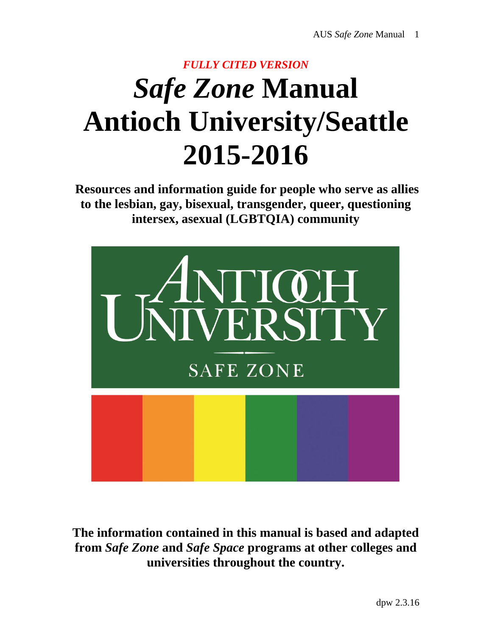# *FULLY CITED VERSION Safe Zone* **Manual Antioch University/Seattle 2015-2016**

**Resources and information guide for people who serve as allies to the lesbian, gay, bisexual, transgender, queer, questioning intersex, asexual (LGBTQIA) community**



**The information contained in this manual is based and adapted from** *Safe Zone* **and** *Safe Space* **programs at other colleges and universities throughout the country.**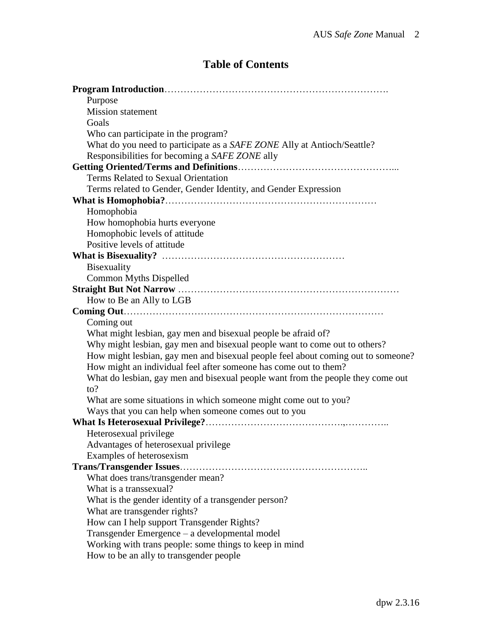# **Table of Contents**

| Purpose                                                                          |
|----------------------------------------------------------------------------------|
| <b>Mission statement</b>                                                         |
| Goals                                                                            |
|                                                                                  |
| Who can participate in the program?                                              |
| What do you need to participate as a SAFE ZONE Ally at Antioch/Seattle?          |
| Responsibilities for becoming a SAFE ZONE ally                                   |
|                                                                                  |
| Terms Related to Sexual Orientation                                              |
| Terms related to Gender, Gender Identity, and Gender Expression                  |
|                                                                                  |
| Homophobia                                                                       |
| How homophobia hurts everyone                                                    |
| Homophobic levels of attitude                                                    |
| Positive levels of attitude                                                      |
|                                                                                  |
| Bisexuality                                                                      |
| <b>Common Myths Dispelled</b>                                                    |
|                                                                                  |
| How to Be an Ally to LGB                                                         |
|                                                                                  |
| Coming out                                                                       |
| What might lesbian, gay men and bisexual people be afraid of?                    |
| Why might lesbian, gay men and bisexual people want to come out to others?       |
| How might lesbian, gay men and bisexual people feel about coming out to someone? |
| How might an individual feel after someone has come out to them?                 |
| What do lesbian, gay men and bisexual people want from the people they come out  |
| to?                                                                              |
| What are some situations in which someone might come out to you?                 |
| Ways that you can help when someone comes out to you                             |
|                                                                                  |
| Heterosexual privilege                                                           |
| Advantages of heterosexual privilege                                             |
| Examples of heterosexism                                                         |
|                                                                                  |
| What does trans/transgender mean?                                                |
| What is a transsexual?                                                           |
| What is the gender identity of a transgender person?                             |
| What are transgender rights?                                                     |
| How can I help support Transgender Rights?                                       |
| Transgender Emergence - a developmental model                                    |
| Working with trans people: some things to keep in mind                           |
| How to be an ally to transgender people                                          |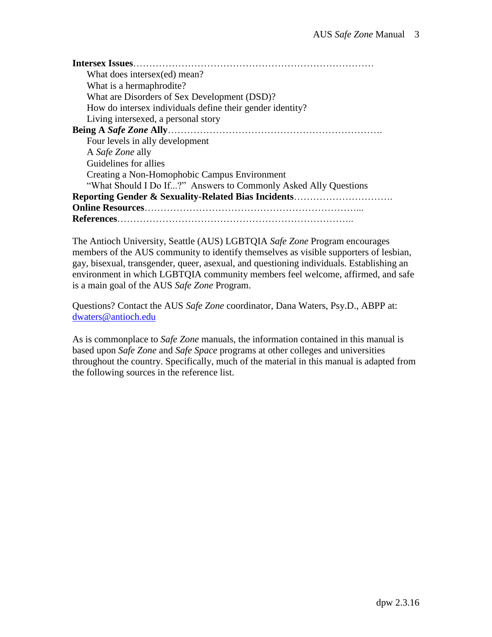| Intersex Issues                                                 |
|-----------------------------------------------------------------|
| What does intersex(ed) mean?                                    |
| What is a hermaphrodite?                                        |
| What are Disorders of Sex Development (DSD)?                    |
| How do intersex individuals define their gender identity?       |
| Living intersexed, a personal story                             |
|                                                                 |
| Four levels in ally development                                 |
| A Safe Zone ally                                                |
| Guidelines for allies                                           |
| Creating a Non-Homophobic Campus Environment                    |
| "What Should I Do If?" Answers to Commonly Asked Ally Questions |
| <b>Reporting Gender &amp; Sexuality-Related Bias Incidents</b>  |
|                                                                 |
|                                                                 |

The Antioch University, Seattle (AUS) LGBTQIA *Safe Zone* Program encourages members of the AUS community to identify themselves as visible supporters of lesbian, gay, bisexual, transgender, queer, asexual, and questioning individuals. Establishing an environment in which LGBTQIA community members feel welcome, affirmed, and safe is a main goal of the AUS *Safe Zone* Program.

Questions? Contact the AUS *Safe Zone* coordinator, Dana Waters, Psy.D., ABPP at: [dwaters@antioch.edu](mailto:dwaters@argosy.edu)

As is commonplace to *Safe Zone* manuals, the information contained in this manual is based upon *Safe Zone* and *Safe Space* programs at other colleges and universities throughout the country. Specifically, much of the material in this manual is adapted from the following sources in the reference list.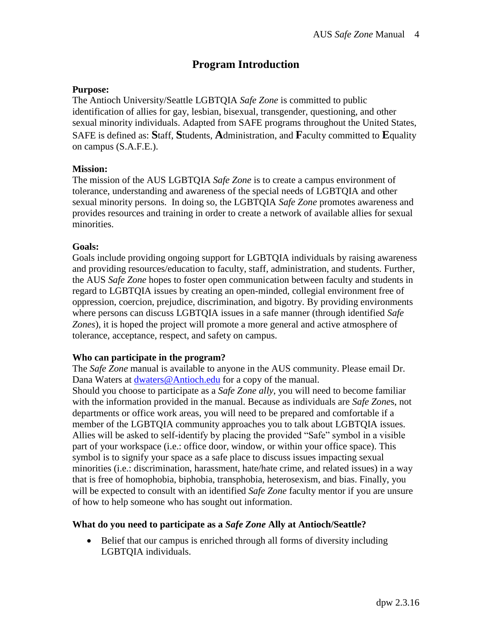# **Program Introduction**

### **Purpose:**

The Antioch University/Seattle LGBTQIA *Safe Zone* is committed to public identification of allies for gay, lesbian, bisexual, transgender, questioning, and other sexual minority individuals. Adapted from SAFE programs throughout the United States, SAFE is defined as: **S**taff, **S**tudents, **A**dministration, and **F**aculty committed to **E**quality on campus (S.A.F.E.).

### **Mission:**

The mission of the AUS LGBTQIA *Safe Zone* is to create a campus environment of tolerance, understanding and awareness of the special needs of LGBTQIA and other sexual minority persons. In doing so, the LGBTQIA *Safe Zone* promotes awareness and provides resources and training in order to create a network of available allies for sexual minorities.

### **Goals:**

Goals include providing ongoing support for LGBTQIA individuals by raising awareness and providing resources/education to faculty, staff, administration, and students. Further, the AUS *Safe Zone* hopes to foster open communication between faculty and students in regard to LGBTQIA issues by creating an open-minded, collegial environment free of oppression, coercion, prejudice, discrimination, and bigotry. By providing environments where persons can discuss LGBTQIA issues in a safe manner (through identified *Safe Zones*), it is hoped the project will promote a more general and active atmosphere of tolerance, acceptance, respect, and safety on campus.

## **Who can participate in the program?**

The *Safe Zone* manual is available to anyone in the AUS community. Please email Dr. Dana Waters at [dwaters@Antioch.edu](mailto:dwaters@argosy.edu) for a copy of the manual.

Should you choose to participate as a *Safe Zone ally*, you will need to become familiar with the information provided in the manual. Because as individuals are *Safe Zone*s, not departments or office work areas, you will need to be prepared and comfortable if a member of the LGBTQIA community approaches you to talk about LGBTQIA issues. Allies will be asked to self-identify by placing the provided "Safe" symbol in a visible part of your workspace (i.e.: office door, window, or within your office space). This symbol is to signify your space as a safe place to discuss issues impacting sexual minorities (i.e.: discrimination, harassment, hate/hate crime, and related issues) in a way that is free of homophobia, biphobia, transphobia, heterosexism, and bias. Finally, you will be expected to consult with an identified *Safe Zone* faculty mentor if you are unsure of how to help someone who has sought out information.

## **What do you need to participate as a** *Safe Zone* **Ally at Antioch/Seattle?**

 Belief that our campus is enriched through all forms of diversity including LGBTQIA individuals.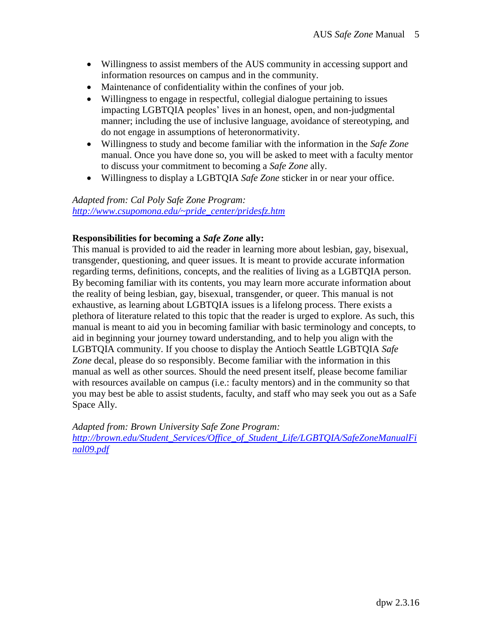- Willingness to assist members of the AUS community in accessing support and information resources on campus and in the community.
- Maintenance of confidentiality within the confines of your job.
- Willingness to engage in respectful, collegial dialogue pertaining to issues impacting LGBTQIA peoples' lives in an honest, open, and non-judgmental manner; including the use of inclusive language, avoidance of stereotyping, and do not engage in assumptions of heteronormativity.
- Willingness to study and become familiar with the information in the *Safe Zone*  manual. Once you have done so, you will be asked to meet with a faculty mentor to discuss your commitment to becoming a *Safe Zone* ally.
- Willingness to display a LGBTQIA *Safe Zone* sticker in or near your office.

### *Adapted from: Cal Poly Safe Zone Program: [http://www.csupomona.edu/~pride\\_center/pridesfz.htm](http://www.csupomona.edu/~pride_center/pridesfz.htm)*

#### **Responsibilities for becoming a** *Safe Zone* **ally:**

This manual is provided to aid the reader in learning more about lesbian, gay, bisexual, transgender, questioning, and queer issues. It is meant to provide accurate information regarding terms, definitions, concepts, and the realities of living as a LGBTQIA person. By becoming familiar with its contents, you may learn more accurate information about the reality of being lesbian, gay, bisexual, transgender, or queer. This manual is not exhaustive, as learning about LGBTQIA issues is a lifelong process. There exists a plethora of literature related to this topic that the reader is urged to explore. As such, this manual is meant to aid you in becoming familiar with basic terminology and concepts, to aid in beginning your journey toward understanding, and to help you align with the LGBTQIA community. If you choose to display the Antioch Seattle LGBTQIA *Safe Zone* decal, please do so responsibly. Become familiar with the information in this manual as well as other sources. Should the need present itself, please become familiar with resources available on campus (i.e.: faculty mentors) and in the community so that you may best be able to assist students, faculty, and staff who may seek you out as a Safe Space Ally.

*Adapted from: Brown University Safe Zone Program: [http://brown.edu/Student\\_Services/Office\\_of\\_Student\\_Life/LGBTQIA/SafeZoneManualFi](http://brown.edu/Student_Services/Office_of_Student_Life/lgbtq/SafeZoneManualFinal09.pdf) [nal09.pdf](http://brown.edu/Student_Services/Office_of_Student_Life/lgbtq/SafeZoneManualFinal09.pdf)*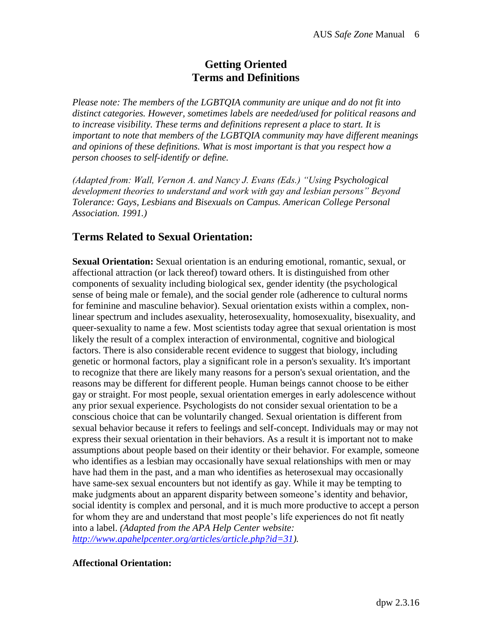# **Getting Oriented Terms and Definitions**

*Please note: The members of the LGBTQIA community are unique and do not fit into distinct categories. However, sometimes labels are needed/used for political reasons and to increase visibility. These terms and definitions represent a place to start. It is important to note that members of the LGBTQIA community may have different meanings and opinions of these definitions. What is most important is that you respect how a person chooses to self-identify or define.* 

*(Adapted from: Wall, Vernon A. and Nancy J. Evans (Eds.) "Using Psychological development theories to understand and work with gay and lesbian persons" Beyond Tolerance: Gays, Lesbians and Bisexuals on Campus. American College Personal Association. 1991.)*

# **Terms Related to Sexual Orientation:**

**Sexual Orientation:** Sexual orientation is an enduring emotional, romantic, sexual, or affectional attraction (or lack thereof) toward others. It is distinguished from other components of sexuality including biological sex, gender identity (the psychological sense of being male or female), and the social gender role (adherence to cultural norms for feminine and masculine behavior). Sexual orientation exists within a complex, nonlinear spectrum and includes asexuality, heterosexuality, homosexuality, bisexuality, and queer-sexuality to name a few. Most scientists today agree that sexual orientation is most likely the result of a complex interaction of environmental, cognitive and biological factors. There is also considerable recent evidence to suggest that biology, including genetic or hormonal factors, play a significant role in a person's sexuality. It's important to recognize that there are likely many reasons for a person's sexual orientation, and the reasons may be different for different people. Human beings cannot choose to be either gay or straight. For most people, sexual orientation emerges in early adolescence without any prior sexual experience. Psychologists do not consider sexual orientation to be a conscious choice that can be voluntarily changed. Sexual orientation is different from sexual behavior because it refers to feelings and self-concept. Individuals may or may not express their sexual orientation in their behaviors. As a result it is important not to make assumptions about people based on their identity or their behavior. For example, someone who identifies as a lesbian may occasionally have sexual relationships with men or may have had them in the past, and a man who identifies as heterosexual may occasionally have same-sex sexual encounters but not identify as gay. While it may be tempting to make judgments about an apparent disparity between someone's identity and behavior, social identity is complex and personal, and it is much more productive to accept a person for whom they are and understand that most people's life experiences do not fit neatly into a label. *(Adapted from the APA Help Center website: [http://www.apahelpcenter.org/articles/article.php?id=31\)](http://www.apahelpcenter.org/articles/article.php?id=31).*

## **Affectional Orientation:**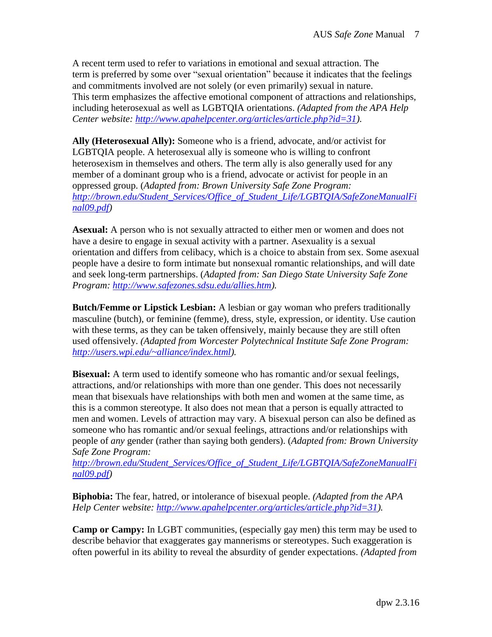A recent term used to refer to variations in emotional and sexual attraction. The term is preferred by some over "sexual orientation" because it indicates that the feelings and commitments involved are not solely (or even primarily) sexual in nature. This term emphasizes the affective emotional component of attractions and relationships, including heterosexual as well as LGBTQIA orientations. *(Adapted from the APA Help Center website: [http://www.apahelpcenter.org/articles/article.php?id=31\)](http://www.apahelpcenter.org/articles/article.php?id=31).*

**Ally (Heterosexual Ally):** Someone who is a friend, advocate, and/or activist for LGBTQIA people. A heterosexual ally is someone who is willing to confront heterosexism in themselves and others. The term ally is also generally used for any member of a dominant group who is a friend, advocate or activist for people in an oppressed group. (*Adapted from: Brown University Safe Zone Program: [http://brown.edu/Student\\_Services/Office\\_of\\_Student\\_Life/LGBTQIA/SafeZoneManualFi](http://brown.edu/Student_Services/Office_of_Student_Life/lgbtq/SafeZoneManualFinal09.pdf) [nal09.pdf\)](http://brown.edu/Student_Services/Office_of_Student_Life/lgbtq/SafeZoneManualFinal09.pdf)*

**Asexual:** A person who is not sexually attracted to either men or women and does not have a desire to engage in sexual activity with a partner. Asexuality is a sexual orientation and differs from celibacy, which is a choice to abstain from sex. Some asexual people have a desire to form intimate but nonsexual romantic relationships, and will date and seek long-term partnerships. (*Adapted from: San Diego State University Safe Zone Program: [http://www.safezones.sdsu.edu/allies.htm\)](http://www.safezones.sdsu.edu/allies.htm).*

**Butch/Femme or Lipstick Lesbian:** A lesbian or gay woman who prefers traditionally masculine (butch), or feminine (femme), dress, style, expression, or identity. Use caution with these terms, as they can be taken offensively, mainly because they are still often used offensively. *(Adapted from Worcester Polytechnical Institute Safe Zone Program: [http://users.wpi.edu/~alliance/index.html\)](http://users.wpi.edu/~alliance/index.html).*

**Bisexual:** A term used to identify someone who has romantic and/or sexual feelings, attractions, and/or relationships with more than one gender. This does not necessarily mean that bisexuals have relationships with both men and women at the same time, as this is a common stereotype. It also does not mean that a person is equally attracted to men and women. Levels of attraction may vary. A bisexual person can also be defined as someone who has romantic and/or sexual feelings, attractions and/or relationships with people of *any* gender (rather than saying both genders). (*Adapted from: Brown University Safe Zone Program:*

*[http://brown.edu/Student\\_Services/Office\\_of\\_Student\\_Life/LGBTQIA/SafeZoneManualFi](http://brown.edu/Student_Services/Office_of_Student_Life/lgbtq/SafeZoneManualFinal09.pdf) [nal09.pdf\)](http://brown.edu/Student_Services/Office_of_Student_Life/lgbtq/SafeZoneManualFinal09.pdf)*

**Biphobia:** The fear, hatred, or intolerance of bisexual people. *(Adapted from the APA Help Center website: [http://www.apahelpcenter.org/articles/article.php?id=31\)](http://www.apahelpcenter.org/articles/article.php?id=31).*

**Camp or Campy:** In LGBT communities, (especially gay men) this term may be used to describe behavior that exaggerates gay mannerisms or stereotypes. Such exaggeration is often powerful in its ability to reveal the absurdity of gender expectations. *(Adapted from*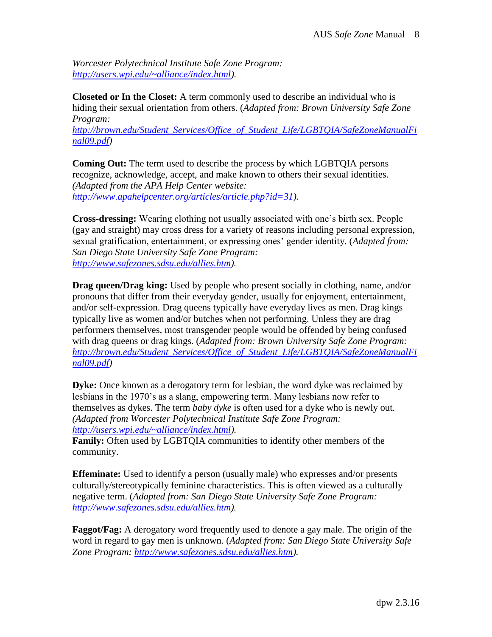*Worcester Polytechnical Institute Safe Zone Program: [http://users.wpi.edu/~alliance/index.html\)](http://users.wpi.edu/~alliance/index.html).*

**Closeted or In the Closet:** A term commonly used to describe an individual who is hiding their sexual orientation from others. (*Adapted from: Brown University Safe Zone Program:*

*[http://brown.edu/Student\\_Services/Office\\_of\\_Student\\_Life/LGBTQIA/SafeZoneManualFi](http://brown.edu/Student_Services/Office_of_Student_Life/lgbtq/SafeZoneManualFinal09.pdf) [nal09.pdf\)](http://brown.edu/Student_Services/Office_of_Student_Life/lgbtq/SafeZoneManualFinal09.pdf)*

**Coming Out:** The term used to describe the process by which LGBTQIA persons recognize, acknowledge, accept, and make known to others their sexual identities. *(Adapted from the APA Help Center website: [http://www.apahelpcenter.org/articles/article.php?id=31\)](http://www.apahelpcenter.org/articles/article.php?id=31).*

**Cross-dressing:** Wearing clothing not usually associated with one's birth sex. People (gay and straight) may cross dress for a variety of reasons including personal expression, sexual gratification, entertainment, or expressing ones' gender identity. (*Adapted from: San Diego State University Safe Zone Program: [http://www.safezones.sdsu.edu/allies.htm\)](http://www.safezones.sdsu.edu/allies.htm).*

**Drag queen/Drag king:** Used by people who present socially in clothing, name, and/or pronouns that differ from their everyday gender, usually for enjoyment, entertainment, and/or self-expression. Drag queens typically have everyday lives as men. Drag kings typically live as women and/or butches when not performing. Unless they are drag performers themselves, most transgender people would be offended by being confused with drag queens or drag kings. (*Adapted from: Brown University Safe Zone Program: [http://brown.edu/Student\\_Services/Office\\_of\\_Student\\_Life/LGBTQIA/SafeZoneManualFi](http://brown.edu/Student_Services/Office_of_Student_Life/lgbtq/SafeZoneManualFinal09.pdf) [nal09.pdf\)](http://brown.edu/Student_Services/Office_of_Student_Life/lgbtq/SafeZoneManualFinal09.pdf)*

**Dyke:** Once known as a derogatory term for lesbian, the word dyke was reclaimed by lesbians in the 1970's as a slang, empowering term. Many lesbians now refer to themselves as dykes. The term *baby dyke* is often used for a dyke who is newly out. *(Adapted from Worcester Polytechnical Institute Safe Zone Program: [http://users.wpi.edu/~alliance/index.html\)](http://users.wpi.edu/~alliance/index.html).*

**Family:** Often used by LGBTQIA communities to identify other members of the community.

**Effeminate:** Used to identify a person (usually male) who expresses and/or presents culturally/stereotypically feminine characteristics. This is often viewed as a culturally negative term. (*Adapted from: San Diego State University Safe Zone Program: [http://www.safezones.sdsu.edu/allies.htm\)](http://www.safezones.sdsu.edu/allies.htm).*

**Faggot/Fag:** A derogatory word frequently used to denote a gay male. The origin of the word in regard to gay men is unknown. (*Adapted from: San Diego State University Safe Zone Program: [http://www.safezones.sdsu.edu/allies.htm\)](http://www.safezones.sdsu.edu/allies.htm).*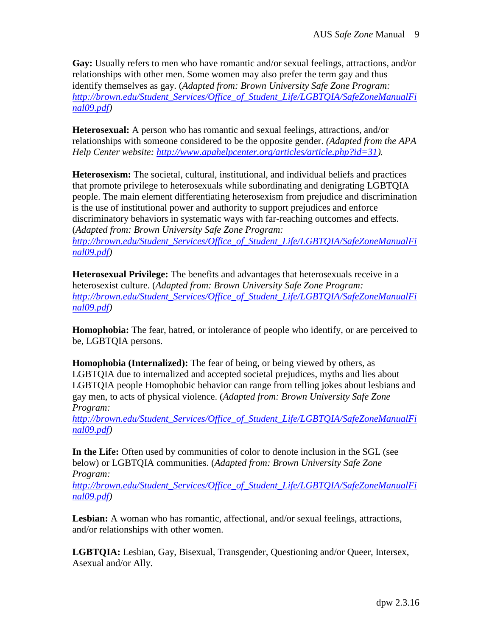**Gay:** Usually refers to men who have romantic and/or sexual feelings, attractions, and/or relationships with other men. Some women may also prefer the term gay and thus identify themselves as gay. (*Adapted from: Brown University Safe Zone Program: [http://brown.edu/Student\\_Services/Office\\_of\\_Student\\_Life/LGBTQIA/SafeZoneManualFi](http://brown.edu/Student_Services/Office_of_Student_Life/lgbtq/SafeZoneManualFinal09.pdf) [nal09.pdf\)](http://brown.edu/Student_Services/Office_of_Student_Life/lgbtq/SafeZoneManualFinal09.pdf)*

**Heterosexual:** A person who has romantic and sexual feelings, attractions, and/or relationships with someone considered to be the opposite gender. *(Adapted from the APA Help Center website: [http://www.apahelpcenter.org/articles/article.php?id=31\)](http://www.apahelpcenter.org/articles/article.php?id=31).*

**Heterosexism:** The societal, cultural, institutional, and individual beliefs and practices that promote privilege to heterosexuals while subordinating and denigrating LGBTQIA people. The main element differentiating heterosexism from prejudice and discrimination is the use of institutional power and authority to support prejudices and enforce discriminatory behaviors in systematic ways with far-reaching outcomes and effects. (*Adapted from: Brown University Safe Zone Program: [http://brown.edu/Student\\_Services/Office\\_of\\_Student\\_Life/LGBTQIA/SafeZoneManualFi](http://brown.edu/Student_Services/Office_of_Student_Life/lgbtq/SafeZoneManualFinal09.pdf) [nal09.pdf\)](http://brown.edu/Student_Services/Office_of_Student_Life/lgbtq/SafeZoneManualFinal09.pdf)*

**Heterosexual Privilege:** The benefits and advantages that heterosexuals receive in a heterosexist culture. (*Adapted from: Brown University Safe Zone Program: [http://brown.edu/Student\\_Services/Office\\_of\\_Student\\_Life/LGBTQIA/SafeZoneManualFi](http://brown.edu/Student_Services/Office_of_Student_Life/lgbtq/SafeZoneManualFinal09.pdf) [nal09.pdf\)](http://brown.edu/Student_Services/Office_of_Student_Life/lgbtq/SafeZoneManualFinal09.pdf)*

**Homophobia:** The fear, hatred, or intolerance of people who identify, or are perceived to be, LGBTQIA persons.

**Homophobia (Internalized):** The fear of being, or being viewed by others, as LGBTQIA due to internalized and accepted societal prejudices, myths and lies about LGBTQIA people Homophobic behavior can range from telling jokes about lesbians and gay men, to acts of physical violence. (*Adapted from: Brown University Safe Zone Program:*

*[http://brown.edu/Student\\_Services/Office\\_of\\_Student\\_Life/LGBTQIA/SafeZoneManualFi](http://brown.edu/Student_Services/Office_of_Student_Life/lgbtq/SafeZoneManualFinal09.pdf) [nal09.pdf\)](http://brown.edu/Student_Services/Office_of_Student_Life/lgbtq/SafeZoneManualFinal09.pdf)*

**In the Life:** Often used by communities of color to denote inclusion in the SGL (see below) or LGBTQIA communities. (*Adapted from: Brown University Safe Zone Program:*

*[http://brown.edu/Student\\_Services/Office\\_of\\_Student\\_Life/LGBTQIA/SafeZoneManualFi](http://brown.edu/Student_Services/Office_of_Student_Life/lgbtq/SafeZoneManualFinal09.pdf) [nal09.pdf\)](http://brown.edu/Student_Services/Office_of_Student_Life/lgbtq/SafeZoneManualFinal09.pdf)*

**Lesbian:** A woman who has romantic, affectional, and/or sexual feelings, attractions, and/or relationships with other women.

**LGBTQIA:** Lesbian, Gay, Bisexual, Transgender, Questioning and/or Queer, Intersex, Asexual and/or Ally.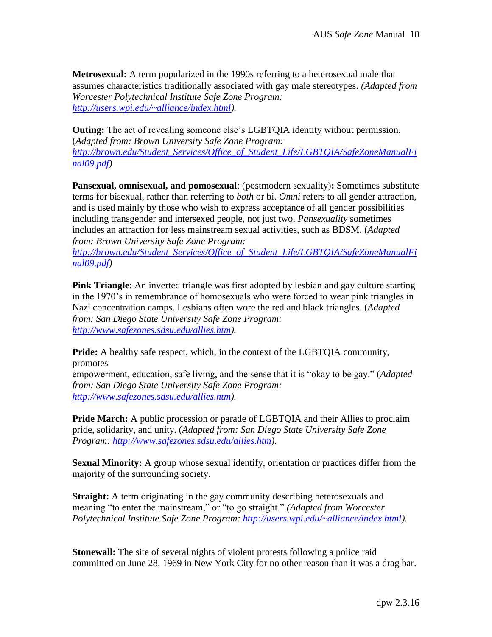**Metrosexual:** A term popularized in the 1990s referring to a heterosexual male that assumes characteristics traditionally associated with gay male stereotypes. *(Adapted from Worcester Polytechnical Institute Safe Zone Program: [http://users.wpi.edu/~alliance/index.html\)](http://users.wpi.edu/~alliance/index.html).*

**Outing:** The act of revealing someone else's LGBTQIA identity without permission. (*Adapted from: Brown University Safe Zone Program: [http://brown.edu/Student\\_Services/Office\\_of\\_Student\\_Life/LGBTQIA/SafeZoneManualFi](http://brown.edu/Student_Services/Office_of_Student_Life/lgbtq/SafeZoneManualFinal09.pdf) [nal09.pdf\)](http://brown.edu/Student_Services/Office_of_Student_Life/lgbtq/SafeZoneManualFinal09.pdf)*

**Pansexual, omnisexual, and pomosexual**: (postmodern sexuality)**:** Sometimes substitute terms for bisexual, rather than referring to *both* or bi. *Omni* refers to all gender attraction, and is used mainly by those who wish to express acceptance of all gender possibilities including transgender and intersexed people, not just two. *Pansexuality* sometimes includes an attraction for less mainstream sexual activities, such as BDSM. (*Adapted from: Brown University Safe Zone Program:*

*[http://brown.edu/Student\\_Services/Office\\_of\\_Student\\_Life/LGBTQIA/SafeZoneManualFi](http://brown.edu/Student_Services/Office_of_Student_Life/lgbtq/SafeZoneManualFinal09.pdf) [nal09.pdf\)](http://brown.edu/Student_Services/Office_of_Student_Life/lgbtq/SafeZoneManualFinal09.pdf)*

**Pink Triangle**: An inverted triangle was first adopted by lesbian and gay culture starting in the 1970's in remembrance of homosexuals who were forced to wear pink triangles in Nazi concentration camps. Lesbians often wore the red and black triangles. (*Adapted from: San Diego State University Safe Zone Program: [http://www.safezones.sdsu.edu/allies.htm\)](http://www.safezones.sdsu.edu/allies.htm).*

**Pride:** A healthy safe respect, which, in the context of the LGBTQIA community, promotes

empowerment, education, safe living, and the sense that it is "okay to be gay." (*Adapted from: San Diego State University Safe Zone Program: [http://www.safezones.sdsu.edu/allies.htm\)](http://www.safezones.sdsu.edu/allies.htm).*

**Pride March:** A public procession or parade of LGBTQIA and their Allies to proclaim pride, solidarity, and unity. (*Adapted from: San Diego State University Safe Zone Program: [http://www.safezones.sdsu.edu/allies.htm\)](http://www.safezones.sdsu.edu/allies.htm).*

**Sexual Minority:** A group whose sexual identify, orientation or practices differ from the majority of the surrounding society.

**Straight:** A term originating in the gay community describing heterosexuals and meaning "to enter the mainstream," or "to go straight." *(Adapted from Worcester Polytechnical Institute Safe Zone Program: [http://users.wpi.edu/~alliance/index.html\)](http://users.wpi.edu/~alliance/index.html).*

**Stonewall:** The site of several nights of violent protests following a police raid committed on June 28, 1969 in New York City for no other reason than it was a drag bar.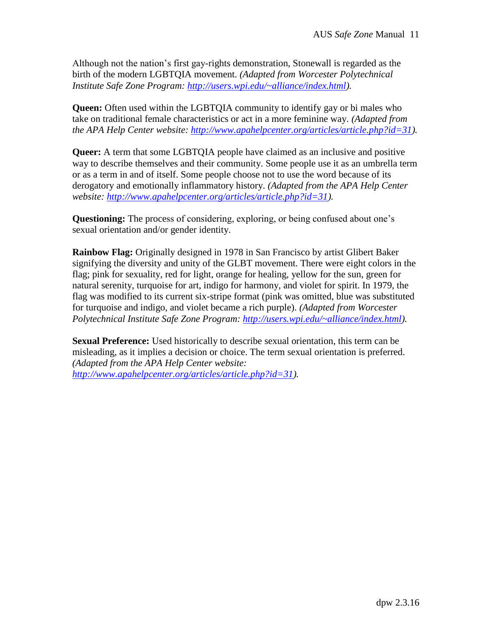Although not the nation's first gay-rights demonstration, Stonewall is regarded as the birth of the modern LGBTQIA movement. *(Adapted from Worcester Polytechnical Institute Safe Zone Program: [http://users.wpi.edu/~alliance/index.html\)](http://users.wpi.edu/~alliance/index.html).*

**Queen:** Often used within the LGBTQIA community to identify gay or bi males who take on traditional female characteristics or act in a more feminine way. *(Adapted from the APA Help Center website: [http://www.apahelpcenter.org/articles/article.php?id=31\)](http://www.apahelpcenter.org/articles/article.php?id=31).*

**Queer:** A term that some LGBTQIA people have claimed as an inclusive and positive way to describe themselves and their community. Some people use it as an umbrella term or as a term in and of itself. Some people choose not to use the word because of its derogatory and emotionally inflammatory history. *(Adapted from the APA Help Center website: [http://www.apahelpcenter.org/articles/article.php?id=31\)](http://www.apahelpcenter.org/articles/article.php?id=31).*

**Questioning:** The process of considering, exploring, or being confused about one's sexual orientation and/or gender identity.

**Rainbow Flag:** Originally designed in 1978 in San Francisco by artist Glibert Baker signifying the diversity and unity of the GLBT movement. There were eight colors in the flag; pink for sexuality, red for light, orange for healing, yellow for the sun, green for natural serenity, turquoise for art, indigo for harmony, and violet for spirit. In 1979, the flag was modified to its current six-stripe format (pink was omitted, blue was substituted for turquoise and indigo, and violet became a rich purple). *(Adapted from Worcester Polytechnical Institute Safe Zone Program: [http://users.wpi.edu/~alliance/index.html\)](http://users.wpi.edu/~alliance/index.html).*

**Sexual Preference:** Used historically to describe sexual orientation, this term can be misleading, as it implies a decision or choice. The term sexual orientation is preferred. *(Adapted from the APA Help Center website: [http://www.apahelpcenter.org/articles/article.php?id=31\)](http://www.apahelpcenter.org/articles/article.php?id=31).*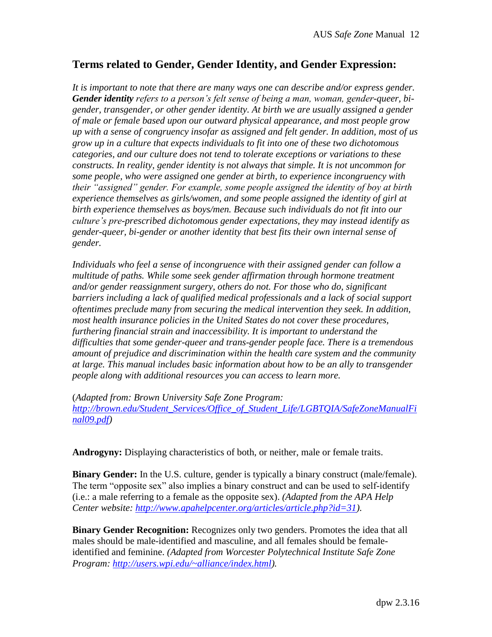# **Terms related to Gender, Gender Identity, and Gender Expression:**

*It is important to note that there are many ways one can describe and/or express gender. Gender identity refers to a person's felt sense of being a man, woman, gender-queer, bigender, transgender, or other gender identity. At birth we are usually assigned a gender of male or female based upon our outward physical appearance, and most people grow up with a sense of congruency insofar as assigned and felt gender. In addition, most of us grow up in a culture that expects individuals to fit into one of these two dichotomous categories, and our culture does not tend to tolerate exceptions or variations to these constructs. In reality, gender identity is not always that simple. It is not uncommon for some people, who were assigned one gender at birth, to experience incongruency with their "assigned" gender. For example, some people assigned the identity of boy at birth experience themselves as girls/women, and some people assigned the identity of girl at birth experience themselves as boys/men. Because such individuals do not fit into our culture's pre-prescribed dichotomous gender expectations, they may instead identify as gender-queer, bi-gender or another identity that best fits their own internal sense of gender.* 

*Individuals who feel a sense of incongruence with their assigned gender can follow a multitude of paths. While some seek gender affirmation through hormone treatment and/or gender reassignment surgery, others do not. For those who do, significant barriers including a lack of qualified medical professionals and a lack of social support oftentimes preclude many from securing the medical intervention they seek. In addition, most health insurance policies in the United States do not cover these procedures, furthering financial strain and inaccessibility. It is important to understand the difficulties that some gender-queer and trans-gender people face. There is a tremendous amount of prejudice and discrimination within the health care system and the community at large. This manual includes basic information about how to be an ally to transgender people along with additional resources you can access to learn more.*

(*Adapted from: Brown University Safe Zone Program:*

*[http://brown.edu/Student\\_Services/Office\\_of\\_Student\\_Life/LGBTQIA/SafeZoneManualFi](http://brown.edu/Student_Services/Office_of_Student_Life/lgbtq/SafeZoneManualFinal09.pdf) [nal09.pdf\)](http://brown.edu/Student_Services/Office_of_Student_Life/lgbtq/SafeZoneManualFinal09.pdf)*

**Androgyny:** Displaying characteristics of both, or neither, male or female traits.

**Binary Gender:** In the U.S. culture, gender is typically a binary construct (male/female). The term "opposite sex" also implies a binary construct and can be used to self-identify (i.e.: a male referring to a female as the opposite sex). *(Adapted from the APA Help Center website: [http://www.apahelpcenter.org/articles/article.php?id=31\)](http://www.apahelpcenter.org/articles/article.php?id=31).*

**Binary Gender Recognition:** Recognizes only two genders. Promotes the idea that all males should be male-identified and masculine, and all females should be femaleidentified and feminine. *(Adapted from Worcester Polytechnical Institute Safe Zone Program: [http://users.wpi.edu/~alliance/index.html\)](http://users.wpi.edu/~alliance/index.html).*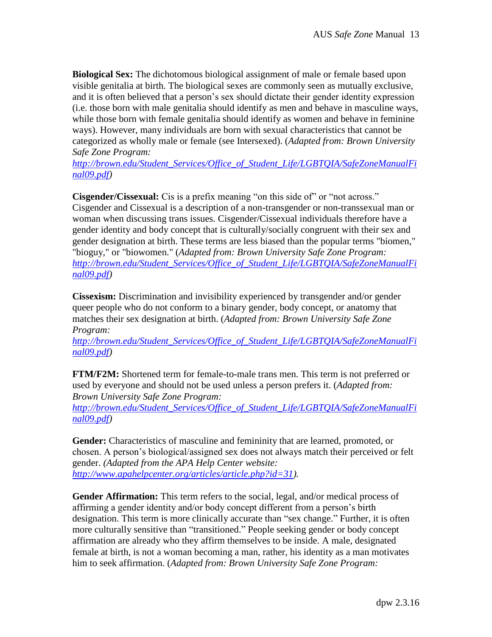**Biological Sex:** The dichotomous biological assignment of male or female based upon visible genitalia at birth. The biological sexes are commonly seen as mutually exclusive, and it is often believed that a person's sex should dictate their gender identity expression (i.e. those born with male genitalia should identify as men and behave in masculine ways, while those born with female genitalia should identify as women and behave in feminine ways). However, many individuals are born with sexual characteristics that cannot be categorized as wholly male or female (see Intersexed). (*Adapted from: Brown University Safe Zone Program:*

*[http://brown.edu/Student\\_Services/Office\\_of\\_Student\\_Life/LGBTQIA/SafeZoneManualFi](http://brown.edu/Student_Services/Office_of_Student_Life/lgbtq/SafeZoneManualFinal09.pdf) [nal09.pdf\)](http://brown.edu/Student_Services/Office_of_Student_Life/lgbtq/SafeZoneManualFinal09.pdf)*

**Cisgender/Cissexual:** Cis is a prefix meaning "on this side of" or "not across." Cisgender and Cissexual is a description of a non-transgender or non-transsexual man or woman when discussing trans issues. Cisgender/Cissexual individuals therefore have a gender identity and body concept that is culturally/socially congruent with their sex and gender designation at birth. These terms are less biased than the popular terms "biomen," "bioguy," or "biowomen." (*Adapted from: Brown University Safe Zone Program: [http://brown.edu/Student\\_Services/Office\\_of\\_Student\\_Life/LGBTQIA/SafeZoneManualFi](http://brown.edu/Student_Services/Office_of_Student_Life/lgbtq/SafeZoneManualFinal09.pdf) [nal09.pdf\)](http://brown.edu/Student_Services/Office_of_Student_Life/lgbtq/SafeZoneManualFinal09.pdf)*

**Cissexism:** Discrimination and invisibility experienced by transgender and/or gender queer people who do not conform to a binary gender, body concept, or anatomy that matches their sex designation at birth. (*Adapted from: Brown University Safe Zone Program:*

*[http://brown.edu/Student\\_Services/Office\\_of\\_Student\\_Life/LGBTQIA/SafeZoneManualFi](http://brown.edu/Student_Services/Office_of_Student_Life/lgbtq/SafeZoneManualFinal09.pdf) [nal09.pdf\)](http://brown.edu/Student_Services/Office_of_Student_Life/lgbtq/SafeZoneManualFinal09.pdf)*

**FTM/F2M:** Shortened term for female-to-male trans men. This term is not preferred or used by everyone and should not be used unless a person prefers it. (*Adapted from: Brown University Safe Zone Program:*

*[http://brown.edu/Student\\_Services/Office\\_of\\_Student\\_Life/LGBTQIA/SafeZoneManualFi](http://brown.edu/Student_Services/Office_of_Student_Life/lgbtq/SafeZoneManualFinal09.pdf) [nal09.pdf\)](http://brown.edu/Student_Services/Office_of_Student_Life/lgbtq/SafeZoneManualFinal09.pdf)*

**Gender:** Characteristics of masculine and femininity that are learned, promoted, or chosen. A person's biological/assigned sex does not always match their perceived or felt gender. *(Adapted from the APA Help Center website: [http://www.apahelpcenter.org/articles/article.php?id=31\)](http://www.apahelpcenter.org/articles/article.php?id=31).*

**Gender Affirmation:** This term refers to the social, legal, and/or medical process of affirming a gender identity and/or body concept different from a person's birth designation. This term is more clinically accurate than "sex change." Further, it is often more culturally sensitive than "transitioned." People seeking gender or body concept affirmation are already who they affirm themselves to be inside. A male, designated female at birth, is not a woman becoming a man, rather, his identity as a man motivates him to seek affirmation. (*Adapted from: Brown University Safe Zone Program:*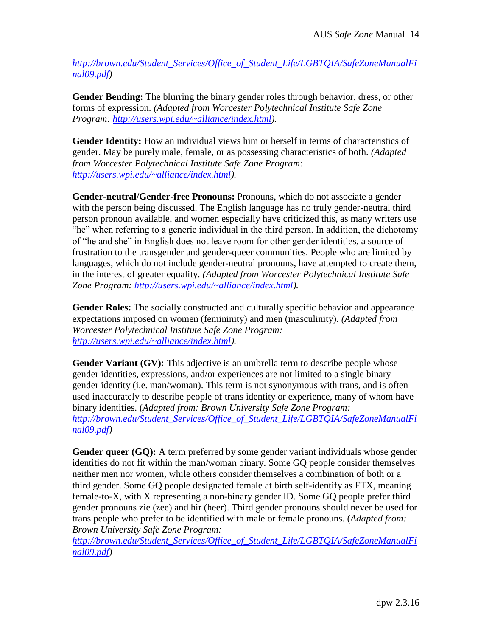*[http://brown.edu/Student\\_Services/Office\\_of\\_Student\\_Life/LGBTQIA/SafeZoneManualFi](http://brown.edu/Student_Services/Office_of_Student_Life/lgbtq/SafeZoneManualFinal09.pdf) [nal09.pdf\)](http://brown.edu/Student_Services/Office_of_Student_Life/lgbtq/SafeZoneManualFinal09.pdf)*

**Gender Bending:** The blurring the binary gender roles through behavior, dress, or other forms of expression. *(Adapted from Worcester Polytechnical Institute Safe Zone Program: [http://users.wpi.edu/~alliance/index.html\)](http://users.wpi.edu/~alliance/index.html).*

Gender Identity: How an individual views him or herself in terms of characteristics of gender. May be purely male, female, or as possessing characteristics of both. *(Adapted from Worcester Polytechnical Institute Safe Zone Program: [http://users.wpi.edu/~alliance/index.html\)](http://users.wpi.edu/~alliance/index.html).*

**Gender-neutral/Gender-free Pronouns:** Pronouns, which do not associate a gender with the person being discussed. The English language has no truly gender-neutral third person pronoun available, and women especially have criticized this, as many writers use "he" when referring to a generic individual in the third person. In addition, the dichotomy of "he and she" in English does not leave room for other gender identities, a source of frustration to the transgender and gender-queer communities. People who are limited by languages, which do not include gender-neutral pronouns, have attempted to create them, in the interest of greater equality. *(Adapted from Worcester Polytechnical Institute Safe Zone Program: [http://users.wpi.edu/~alliance/index.html\)](http://users.wpi.edu/~alliance/index.html).*

**Gender Roles:** The socially constructed and culturally specific behavior and appearance expectations imposed on women (femininity) and men (masculinity). *(Adapted from Worcester Polytechnical Institute Safe Zone Program: [http://users.wpi.edu/~alliance/index.html\)](http://users.wpi.edu/~alliance/index.html).*

**Gender Variant (GV):** This adjective is an umbrella term to describe people whose gender identities, expressions, and/or experiences are not limited to a single binary gender identity (i.e. man/woman). This term is not synonymous with trans, and is often used inaccurately to describe people of trans identity or experience, many of whom have binary identities. (*Adapted from: Brown University Safe Zone Program: [http://brown.edu/Student\\_Services/Office\\_of\\_Student\\_Life/LGBTQIA/SafeZoneManualFi](http://brown.edu/Student_Services/Office_of_Student_Life/lgbtq/SafeZoneManualFinal09.pdf) [nal09.pdf\)](http://brown.edu/Student_Services/Office_of_Student_Life/lgbtq/SafeZoneManualFinal09.pdf)*

Gender queer (GQ): A term preferred by some gender variant individuals whose gender identities do not fit within the man/woman binary. Some GQ people consider themselves neither men nor women, while others consider themselves a combination of both or a third gender. Some GQ people designated female at birth self-identify as FTX, meaning female-to-X, with X representing a non-binary gender ID. Some GQ people prefer third gender pronouns zie (zee) and hir (heer). Third gender pronouns should never be used for trans people who prefer to be identified with male or female pronouns. (*Adapted from: Brown University Safe Zone Program:*

*[http://brown.edu/Student\\_Services/Office\\_of\\_Student\\_Life/LGBTQIA/SafeZoneManualFi](http://brown.edu/Student_Services/Office_of_Student_Life/lgbtq/SafeZoneManualFinal09.pdf) [nal09.pdf\)](http://brown.edu/Student_Services/Office_of_Student_Life/lgbtq/SafeZoneManualFinal09.pdf)*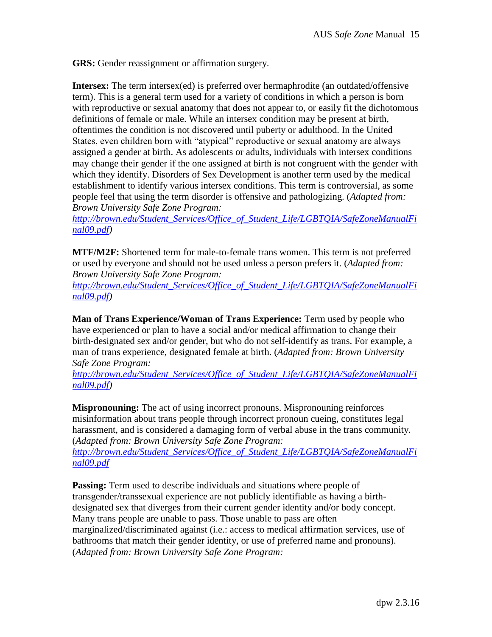**GRS:** Gender reassignment or affirmation surgery.

**Intersex:** The term intersex(ed) is preferred over hermaphrodite (an outdated/offensive term). This is a general term used for a variety of conditions in which a person is born with reproductive or sexual anatomy that does not appear to, or easily fit the dichotomous definitions of female or male. While an intersex condition may be present at birth, oftentimes the condition is not discovered until puberty or adulthood. In the United States, even children born with "atypical" reproductive or sexual anatomy are always assigned a gender at birth. As adolescents or adults, individuals with intersex conditions may change their gender if the one assigned at birth is not congruent with the gender with which they identify. Disorders of Sex Development is another term used by the medical establishment to identify various intersex conditions. This term is controversial, as some people feel that using the term disorder is offensive and pathologizing. (*Adapted from: Brown University Safe Zone Program:*

*[http://brown.edu/Student\\_Services/Office\\_of\\_Student\\_Life/LGBTQIA/SafeZoneManualFi](http://brown.edu/Student_Services/Office_of_Student_Life/lgbtq/SafeZoneManualFinal09.pdf) [nal09.pdf\)](http://brown.edu/Student_Services/Office_of_Student_Life/lgbtq/SafeZoneManualFinal09.pdf)*

**MTF/M2F:** Shortened term for male-to-female trans women. This term is not preferred or used by everyone and should not be used unless a person prefers it. (*Adapted from: Brown University Safe Zone Program:*

*[http://brown.edu/Student\\_Services/Office\\_of\\_Student\\_Life/LGBTQIA/SafeZoneManualFi](http://brown.edu/Student_Services/Office_of_Student_Life/lgbtq/SafeZoneManualFinal09.pdf) [nal09.pdf\)](http://brown.edu/Student_Services/Office_of_Student_Life/lgbtq/SafeZoneManualFinal09.pdf)*

**Man of Trans Experience/Woman of Trans Experience:** Term used by people who have experienced or plan to have a social and/or medical affirmation to change their birth-designated sex and/or gender, but who do not self-identify as trans. For example, a man of trans experience, designated female at birth. (*Adapted from: Brown University Safe Zone Program:*

*[http://brown.edu/Student\\_Services/Office\\_of\\_Student\\_Life/LGBTQIA/SafeZoneManualFi](http://brown.edu/Student_Services/Office_of_Student_Life/lgbtq/SafeZoneManualFinal09.pdf) [nal09.pdf\)](http://brown.edu/Student_Services/Office_of_Student_Life/lgbtq/SafeZoneManualFinal09.pdf)*

**Mispronouning:** The act of using incorrect pronouns. Mispronouning reinforces misinformation about trans people through incorrect pronoun cueing, constitutes legal harassment, and is considered a damaging form of verbal abuse in the trans community. (*Adapted from: Brown University Safe Zone Program:*

*[http://brown.edu/Student\\_Services/Office\\_of\\_Student\\_Life/LGBTQIA/SafeZoneManualFi](http://brown.edu/Student_Services/Office_of_Student_Life/lgbtq/SafeZoneManualFinal09.pdf) [nal09.pdf](http://brown.edu/Student_Services/Office_of_Student_Life/lgbtq/SafeZoneManualFinal09.pdf)*

**Passing:** Term used to describe individuals and situations where people of transgender/transsexual experience are not publicly identifiable as having a birthdesignated sex that diverges from their current gender identity and/or body concept. Many trans people are unable to pass. Those unable to pass are often marginalized/discriminated against (i.e.: access to medical affirmation services, use of bathrooms that match their gender identity, or use of preferred name and pronouns). (*Adapted from: Brown University Safe Zone Program:*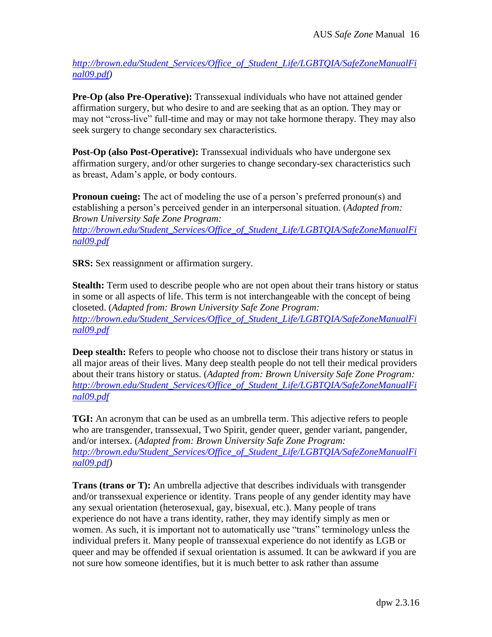*[http://brown.edu/Student\\_Services/Office\\_of\\_Student\\_Life/LGBTQIA/SafeZoneManualFi](http://brown.edu/Student_Services/Office_of_Student_Life/lgbtq/SafeZoneManualFinal09.pdf) [nal09.pdf\)](http://brown.edu/Student_Services/Office_of_Student_Life/lgbtq/SafeZoneManualFinal09.pdf)*

**Pre-Op (also Pre-Operative):** Transsexual individuals who have not attained gender affirmation surgery, but who desire to and are seeking that as an option. They may or may not "cross-live" full-time and may or may not take hormone therapy. They may also seek surgery to change secondary sex characteristics.

**Post-Op (also Post-Operative):** Transsexual individuals who have undergone sex affirmation surgery, and/or other surgeries to change secondary-sex characteristics such as breast, Adam's apple, or body contours.

**Pronoun cueing:** The act of modeling the use of a person's preferred pronoun(s) and establishing a person's perceived gender in an interpersonal situation. (*Adapted from: Brown University Safe Zone Program: [http://brown.edu/Student\\_Services/Office\\_of\\_Student\\_Life/LGBTQIA/SafeZoneManualFi](http://brown.edu/Student_Services/Office_of_Student_Life/lgbtq/SafeZoneManualFinal09.pdf)*

*[nal09.pdf](http://brown.edu/Student_Services/Office_of_Student_Life/lgbtq/SafeZoneManualFinal09.pdf)*

**SRS:** Sex reassignment or affirmation surgery.

**Stealth:** Term used to describe people who are not open about their trans history or status in some or all aspects of life. This term is not interchangeable with the concept of being closeted. (*Adapted from: Brown University Safe Zone Program: [http://brown.edu/Student\\_Services/Office\\_of\\_Student\\_Life/LGBTQIA/SafeZoneManualFi](http://brown.edu/Student_Services/Office_of_Student_Life/lgbtq/SafeZoneManualFinal09.pdf) [nal09.pdf](http://brown.edu/Student_Services/Office_of_Student_Life/lgbtq/SafeZoneManualFinal09.pdf)*

**Deep stealth:** Refers to people who choose not to disclose their trans history or status in all major areas of their lives. Many deep stealth people do not tell their medical providers about their trans history or status. (*Adapted from: Brown University Safe Zone Program: [http://brown.edu/Student\\_Services/Office\\_of\\_Student\\_Life/LGBTQIA/SafeZoneManualFi](http://brown.edu/Student_Services/Office_of_Student_Life/lgbtq/SafeZoneManualFinal09.pdf) [nal09.pdf](http://brown.edu/Student_Services/Office_of_Student_Life/lgbtq/SafeZoneManualFinal09.pdf)*

**TGI:** An acronym that can be used as an umbrella term. This adjective refers to people who are transgender, transsexual, Two Spirit, gender queer, gender variant, pangender, and/or intersex. (*Adapted from: Brown University Safe Zone Program: [http://brown.edu/Student\\_Services/Office\\_of\\_Student\\_Life/LGBTQIA/SafeZoneManualFi](http://brown.edu/Student_Services/Office_of_Student_Life/lgbtq/SafeZoneManualFinal09.pdf) [nal09.pdf\)](http://brown.edu/Student_Services/Office_of_Student_Life/lgbtq/SafeZoneManualFinal09.pdf)*

**Trans (trans or T):** An umbrella adjective that describes individuals with transgender and/or transsexual experience or identity. Trans people of any gender identity may have any sexual orientation (heterosexual, gay, bisexual, etc.). Many people of trans experience do not have a trans identity, rather, they may identify simply as men or women. As such, it is important not to automatically use "trans" terminology unless the individual prefers it. Many people of transsexual experience do not identify as LGB or queer and may be offended if sexual orientation is assumed. It can be awkward if you are not sure how someone identifies, but it is much better to ask rather than assume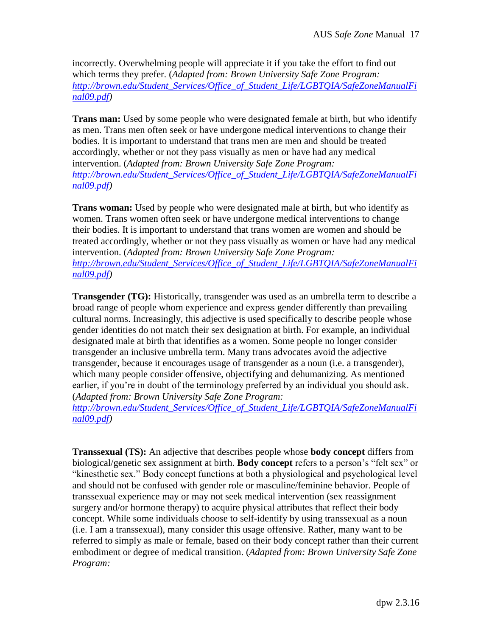incorrectly. Overwhelming people will appreciate it if you take the effort to find out which terms they prefer. (*Adapted from: Brown University Safe Zone Program: [http://brown.edu/Student\\_Services/Office\\_of\\_Student\\_Life/LGBTQIA/SafeZoneManualFi](http://brown.edu/Student_Services/Office_of_Student_Life/lgbtq/SafeZoneManualFinal09.pdf) [nal09.pdf\)](http://brown.edu/Student_Services/Office_of_Student_Life/lgbtq/SafeZoneManualFinal09.pdf)*

**Trans man:** Used by some people who were designated female at birth, but who identify as men. Trans men often seek or have undergone medical interventions to change their bodies. It is important to understand that trans men are men and should be treated accordingly, whether or not they pass visually as men or have had any medical intervention. (*Adapted from: Brown University Safe Zone Program: [http://brown.edu/Student\\_Services/Office\\_of\\_Student\\_Life/LGBTQIA/SafeZoneManualFi](http://brown.edu/Student_Services/Office_of_Student_Life/lgbtq/SafeZoneManualFinal09.pdf) [nal09.pdf\)](http://brown.edu/Student_Services/Office_of_Student_Life/lgbtq/SafeZoneManualFinal09.pdf)*

**Trans woman:** Used by people who were designated male at birth, but who identify as women. Trans women often seek or have undergone medical interventions to change their bodies. It is important to understand that trans women are women and should be treated accordingly, whether or not they pass visually as women or have had any medical intervention. (*Adapted from: Brown University Safe Zone Program: [http://brown.edu/Student\\_Services/Office\\_of\\_Student\\_Life/LGBTQIA/SafeZoneManualFi](http://brown.edu/Student_Services/Office_of_Student_Life/lgbtq/SafeZoneManualFinal09.pdf) [nal09.pdf\)](http://brown.edu/Student_Services/Office_of_Student_Life/lgbtq/SafeZoneManualFinal09.pdf)*

**Transgender (TG):** Historically, transgender was used as an umbrella term to describe a broad range of people whom experience and express gender differently than prevailing cultural norms. Increasingly, this adjective is used specifically to describe people whose gender identities do not match their sex designation at birth. For example, an individual designated male at birth that identifies as a women. Some people no longer consider transgender an inclusive umbrella term. Many trans advocates avoid the adjective transgender, because it encourages usage of transgender as a noun (i.e. a transgender), which many people consider offensive, objectifying and dehumanizing. As mentioned earlier, if you're in doubt of the terminology preferred by an individual you should ask. (*Adapted from: Brown University Safe Zone Program:*

*[http://brown.edu/Student\\_Services/Office\\_of\\_Student\\_Life/LGBTQIA/SafeZoneManualFi](http://brown.edu/Student_Services/Office_of_Student_Life/lgbtq/SafeZoneManualFinal09.pdf) [nal09.pdf\)](http://brown.edu/Student_Services/Office_of_Student_Life/lgbtq/SafeZoneManualFinal09.pdf)*

**Transsexual (TS):** An adjective that describes people whose **body concept** differs from biological/genetic sex assignment at birth. **Body concept** refers to a person's "felt sex" or "kinesthetic sex." Body concept functions at both a physiological and psychological level and should not be confused with gender role or masculine/feminine behavior. People of transsexual experience may or may not seek medical intervention (sex reassignment surgery and/or hormone therapy) to acquire physical attributes that reflect their body concept. While some individuals choose to self-identify by using transsexual as a noun (i.e. I am a transsexual), many consider this usage offensive. Rather, many want to be referred to simply as male or female, based on their body concept rather than their current embodiment or degree of medical transition. (*Adapted from: Brown University Safe Zone Program:*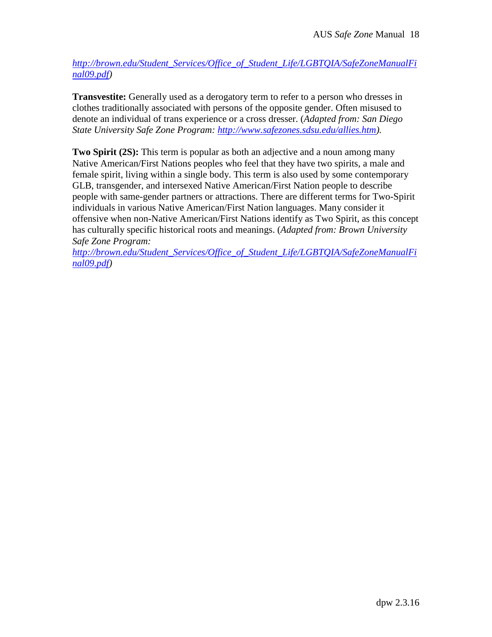*[http://brown.edu/Student\\_Services/Office\\_of\\_Student\\_Life/LGBTQIA/SafeZoneManualFi](http://brown.edu/Student_Services/Office_of_Student_Life/lgbtq/SafeZoneManualFinal09.pdf) [nal09.pdf\)](http://brown.edu/Student_Services/Office_of_Student_Life/lgbtq/SafeZoneManualFinal09.pdf)*

**Transvestite:** Generally used as a derogatory term to refer to a person who dresses in clothes traditionally associated with persons of the opposite gender. Often misused to denote an individual of trans experience or a cross dresser. (*Adapted from: San Diego State University Safe Zone Program: [http://www.safezones.sdsu.edu/allies.htm\)](http://www.safezones.sdsu.edu/allies.htm).*

**Two Spirit (2S):** This term is popular as both an adjective and a noun among many Native American/First Nations peoples who feel that they have two spirits, a male and female spirit, living within a single body. This term is also used by some contemporary GLB, transgender, and intersexed Native American/First Nation people to describe people with same-gender partners or attractions. There are different terms for Two-Spirit individuals in various Native American/First Nation languages. Many consider it offensive when non-Native American/First Nations identify as Two Spirit, as this concept has culturally specific historical roots and meanings. (*Adapted from: Brown University Safe Zone Program:*

*[http://brown.edu/Student\\_Services/Office\\_of\\_Student\\_Life/LGBTQIA/SafeZoneManualFi](http://brown.edu/Student_Services/Office_of_Student_Life/lgbtq/SafeZoneManualFinal09.pdf) [nal09.pdf\)](http://brown.edu/Student_Services/Office_of_Student_Life/lgbtq/SafeZoneManualFinal09.pdf)*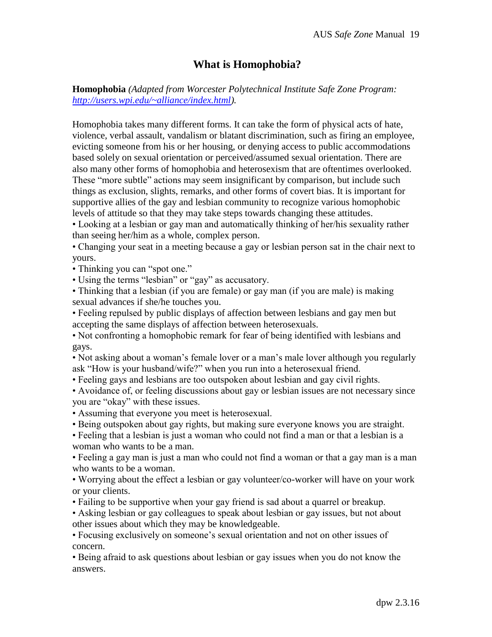# **What is Homophobia?**

**Homophobia** *(Adapted from Worcester Polytechnical Institute Safe Zone Program: [http://users.wpi.edu/~alliance/index.html\)](http://users.wpi.edu/~alliance/index.html).*

Homophobia takes many different forms. It can take the form of physical acts of hate, violence, verbal assault, vandalism or blatant discrimination, such as firing an employee, evicting someone from his or her housing, or denying access to public accommodations based solely on sexual orientation or perceived/assumed sexual orientation. There are also many other forms of homophobia and heterosexism that are oftentimes overlooked. These "more subtle" actions may seem insignificant by comparison, but include such things as exclusion, slights, remarks, and other forms of covert bias. It is important for supportive allies of the gay and lesbian community to recognize various homophobic levels of attitude so that they may take steps towards changing these attitudes.

• Looking at a lesbian or gay man and automatically thinking of her/his sexuality rather than seeing her/him as a whole, complex person.

• Changing your seat in a meeting because a gay or lesbian person sat in the chair next to yours.

• Thinking you can "spot one."

• Using the terms "lesbian" or "gay" as accusatory.

• Thinking that a lesbian (if you are female) or gay man (if you are male) is making sexual advances if she/he touches you.

• Feeling repulsed by public displays of affection between lesbians and gay men but accepting the same displays of affection between heterosexuals.

• Not confronting a homophobic remark for fear of being identified with lesbians and gays.

• Not asking about a woman's female lover or a man's male lover although you regularly ask "How is your husband/wife?" when you run into a heterosexual friend.

• Feeling gays and lesbians are too outspoken about lesbian and gay civil rights.

• Avoidance of, or feeling discussions about gay or lesbian issues are not necessary since you are "okay" with these issues.

• Assuming that everyone you meet is heterosexual.

• Being outspoken about gay rights, but making sure everyone knows you are straight.

• Feeling that a lesbian is just a woman who could not find a man or that a lesbian is a woman who wants to be a man.

• Feeling a gay man is just a man who could not find a woman or that a gay man is a man who wants to be a woman.

• Worrying about the effect a lesbian or gay volunteer/co-worker will have on your work or your clients.

• Failing to be supportive when your gay friend is sad about a quarrel or breakup.

• Asking lesbian or gay colleagues to speak about lesbian or gay issues, but not about other issues about which they may be knowledgeable.

• Focusing exclusively on someone's sexual orientation and not on other issues of concern.

• Being afraid to ask questions about lesbian or gay issues when you do not know the answers.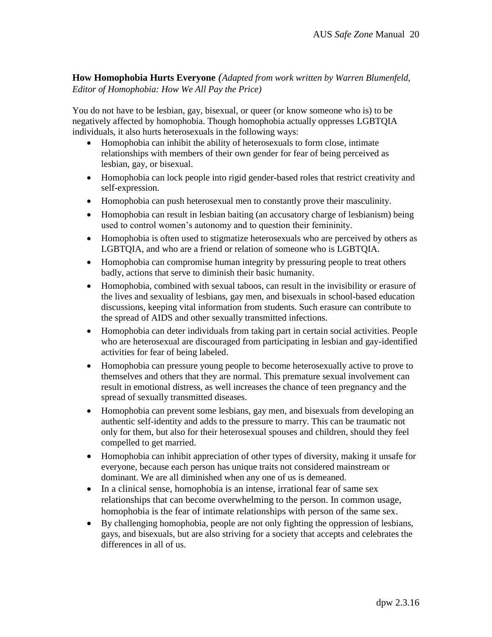**How Homophobia Hurts Everyone** *(Adapted from work written by Warren Blumenfeld, Editor of Homophobia: How We All Pay the Price)*

You do not have to be lesbian, gay, bisexual, or queer (or know someone who is) to be negatively affected by homophobia. Though homophobia actually oppresses LGBTQIA individuals, it also hurts heterosexuals in the following ways:

- Homophobia can inhibit the ability of heterosexuals to form close, intimate relationships with members of their own gender for fear of being perceived as lesbian, gay, or bisexual.
- Homophobia can lock people into rigid gender-based roles that restrict creativity and self-expression.
- Homophobia can push heterosexual men to constantly prove their masculinity.
- Homophobia can result in lesbian baiting (an accusatory charge of lesbianism) being used to control women's autonomy and to question their femininity.
- Homophobia is often used to stigmatize heterosexuals who are perceived by others as LGBTQIA, and who are a friend or relation of someone who is LGBTQIA.
- Homophobia can compromise human integrity by pressuring people to treat others badly, actions that serve to diminish their basic humanity.
- Homophobia, combined with sexual taboos, can result in the invisibility or erasure of the lives and sexuality of lesbians, gay men, and bisexuals in school-based education discussions, keeping vital information from students. Such erasure can contribute to the spread of AIDS and other sexually transmitted infections.
- Homophobia can deter individuals from taking part in certain social activities. People who are heterosexual are discouraged from participating in lesbian and gay-identified activities for fear of being labeled.
- Homophobia can pressure young people to become heterosexually active to prove to themselves and others that they are normal. This premature sexual involvement can result in emotional distress, as well increases the chance of teen pregnancy and the spread of sexually transmitted diseases.
- Homophobia can prevent some lesbians, gay men, and bisexuals from developing an authentic self-identity and adds to the pressure to marry. This can be traumatic not only for them, but also for their heterosexual spouses and children, should they feel compelled to get married.
- Homophobia can inhibit appreciation of other types of diversity, making it unsafe for everyone, because each person has unique traits not considered mainstream or dominant. We are all diminished when any one of us is demeaned.
- In a clinical sense, homophobia is an intense, irrational fear of same sex relationships that can become overwhelming to the person. In common usage, homophobia is the fear of intimate relationships with person of the same sex.
- By challenging homophobia, people are not only fighting the oppression of lesbians, gays, and bisexuals, but are also striving for a society that accepts and celebrates the differences in all of us.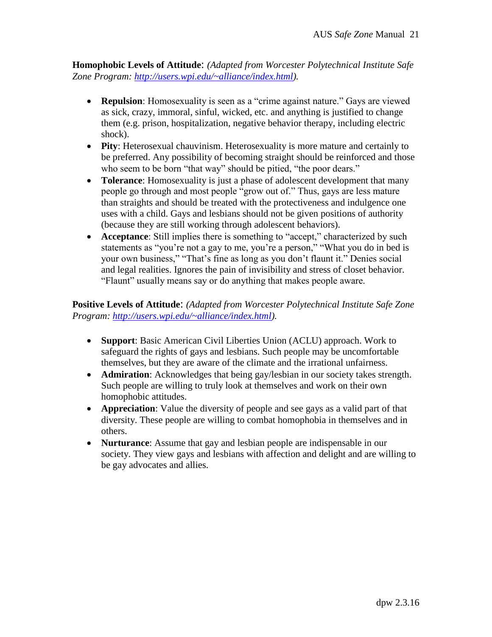**Homophobic Levels of Attitude**: *(Adapted from Worcester Polytechnical Institute Safe Zone Program: [http://users.wpi.edu/~alliance/index.html\)](http://users.wpi.edu/~alliance/index.html).*

- **Repulsion**: Homosexuality is seen as a "crime against nature." Gays are viewed as sick, crazy, immoral, sinful, wicked, etc. and anything is justified to change them (e.g. prison, hospitalization, negative behavior therapy, including electric shock).
- **Pity**: Heterosexual chauvinism. Heterosexuality is more mature and certainly to be preferred. Any possibility of becoming straight should be reinforced and those who seem to be born "that way" should be pitied, "the poor dears."
- **Tolerance**: Homosexuality is just a phase of adolescent development that many people go through and most people "grow out of." Thus, gays are less mature than straights and should be treated with the protectiveness and indulgence one uses with a child. Gays and lesbians should not be given positions of authority (because they are still working through adolescent behaviors).
- **Acceptance**: Still implies there is something to "accept," characterized by such statements as "you're not a gay to me, you're a person," "What you do in bed is your own business," "That's fine as long as you don't flaunt it." Denies social and legal realities. Ignores the pain of invisibility and stress of closet behavior. "Flaunt" usually means say or do anything that makes people aware.

**Positive Levels of Attitude**: *(Adapted from Worcester Polytechnical Institute Safe Zone Program: [http://users.wpi.edu/~alliance/index.html\)](http://users.wpi.edu/~alliance/index.html).*

- **Support**: Basic American Civil Liberties Union (ACLU) approach. Work to safeguard the rights of gays and lesbians. Such people may be uncomfortable themselves, but they are aware of the climate and the irrational unfairness.
- **Admiration**: Acknowledges that being gay/lesbian in our society takes strength. Such people are willing to truly look at themselves and work on their own homophobic attitudes.
- **Appreciation**: Value the diversity of people and see gays as a valid part of that diversity. These people are willing to combat homophobia in themselves and in others.
- **Nurturance**: Assume that gay and lesbian people are indispensable in our society. They view gays and lesbians with affection and delight and are willing to be gay advocates and allies.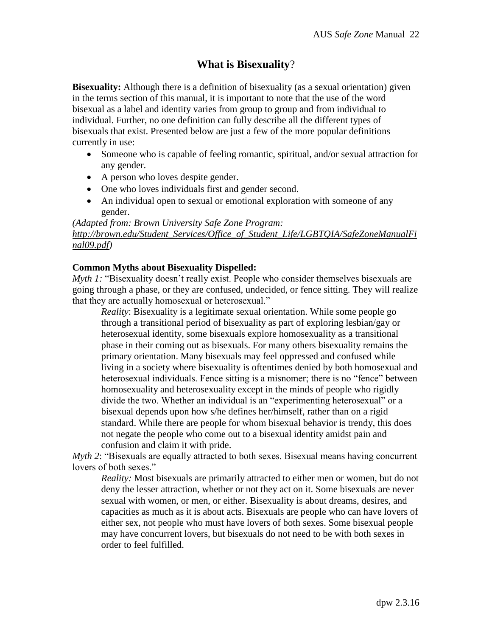# **What is Bisexuality**?

**Bisexuality:** Although there is a definition of bisexuality (as a sexual orientation) given in the terms section of this manual, it is important to note that the use of the word bisexual as a label and identity varies from group to group and from individual to individual. Further, no one definition can fully describe all the different types of bisexuals that exist. Presented below are just a few of the more popular definitions currently in use:

- Someone who is capable of feeling romantic, spiritual, and/or sexual attraction for any gender.
- A person who loves despite gender.
- One who loves individuals first and gender second.
- An individual open to sexual or emotional exploration with someone of any gender.

### *(Adapted from: Brown University Safe Zone Program: [http://brown.edu/Student\\_Services/Office\\_of\\_Student\\_Life/LGBTQIA/SafeZoneManualFi](http://brown.edu/Student_Services/Office_of_Student_Life/lgbtq/SafeZoneManualFinal09.pdf) [nal09.pdf\)](http://brown.edu/Student_Services/Office_of_Student_Life/lgbtq/SafeZoneManualFinal09.pdf)*

#### **Common Myths about Bisexuality Dispelled:**

*Myth 1:* "Bisexuality doesn't really exist. People who consider themselves bisexuals are going through a phase, or they are confused, undecided, or fence sitting. They will realize that they are actually homosexual or heterosexual."

*Reality*: Bisexuality is a legitimate sexual orientation. While some people go through a transitional period of bisexuality as part of exploring lesbian/gay or heterosexual identity, some bisexuals explore homosexuality as a transitional phase in their coming out as bisexuals. For many others bisexuality remains the primary orientation. Many bisexuals may feel oppressed and confused while living in a society where bisexuality is oftentimes denied by both homosexual and heterosexual individuals. Fence sitting is a misnomer; there is no "fence" between homosexuality and heterosexuality except in the minds of people who rigidly divide the two. Whether an individual is an "experimenting heterosexual" or a bisexual depends upon how s/he defines her/himself, rather than on a rigid standard. While there are people for whom bisexual behavior is trendy, this does not negate the people who come out to a bisexual identity amidst pain and confusion and claim it with pride.

*Myth 2*: "Bisexuals are equally attracted to both sexes. Bisexual means having concurrent lovers of both sexes."

*Reality:* Most bisexuals are primarily attracted to either men or women, but do not deny the lesser attraction, whether or not they act on it. Some bisexuals are never sexual with women, or men, or either. Bisexuality is about dreams, desires, and capacities as much as it is about acts. Bisexuals are people who can have lovers of either sex, not people who must have lovers of both sexes. Some bisexual people may have concurrent lovers, but bisexuals do not need to be with both sexes in order to feel fulfilled.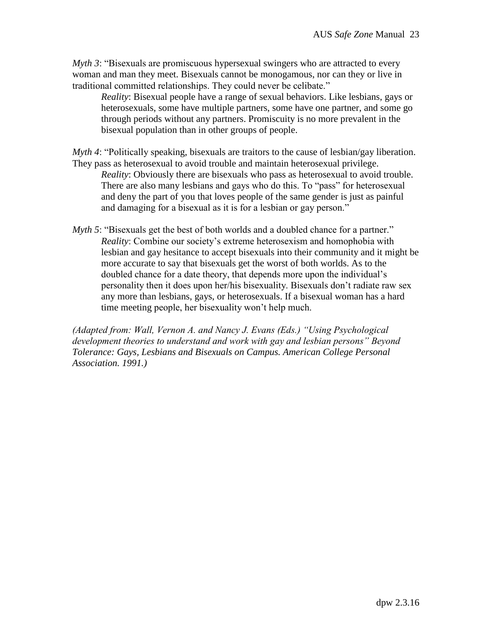*Myth 3*: "Bisexuals are promiscuous hypersexual swingers who are attracted to every woman and man they meet. Bisexuals cannot be monogamous, nor can they or live in traditional committed relationships. They could never be celibate."

*Reality*: Bisexual people have a range of sexual behaviors. Like lesbians, gays or heterosexuals, some have multiple partners, some have one partner, and some go through periods without any partners. Promiscuity is no more prevalent in the bisexual population than in other groups of people.

*Myth 4*: "Politically speaking, bisexuals are traitors to the cause of lesbian/gay liberation. They pass as heterosexual to avoid trouble and maintain heterosexual privilege. *Reality*: Obviously there are bisexuals who pass as heterosexual to avoid trouble. There are also many lesbians and gays who do this. To "pass" for heterosexual and deny the part of you that loves people of the same gender is just as painful and damaging for a bisexual as it is for a lesbian or gay person."

*Myth 5*: "Bisexuals get the best of both worlds and a doubled chance for a partner." *Reality*: Combine our society's extreme heterosexism and homophobia with lesbian and gay hesitance to accept bisexuals into their community and it might be more accurate to say that bisexuals get the worst of both worlds. As to the doubled chance for a date theory, that depends more upon the individual's personality then it does upon her/his bisexuality. Bisexuals don't radiate raw sex any more than lesbians, gays, or heterosexuals. If a bisexual woman has a hard time meeting people, her bisexuality won't help much.

*(Adapted from: Wall, Vernon A. and Nancy J. Evans (Eds.) "Using Psychological development theories to understand and work with gay and lesbian persons" Beyond Tolerance: Gays, Lesbians and Bisexuals on Campus. American College Personal Association. 1991.)*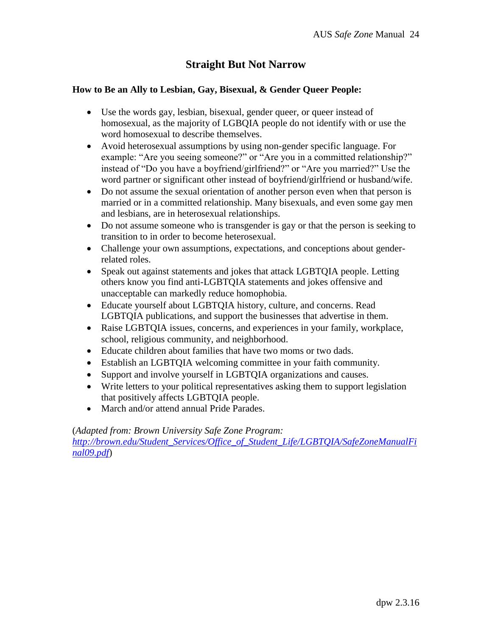# **Straight But Not Narrow**

### **How to Be an Ally to Lesbian, Gay, Bisexual, & Gender Queer People:**

- Use the words gay, lesbian, bisexual, gender queer, or queer instead of homosexual, as the majority of LGBQIA people do not identify with or use the word homosexual to describe themselves.
- Avoid heterosexual assumptions by using non-gender specific language. For example: "Are you seeing someone?" or "Are you in a committed relationship?" instead of "Do you have a boyfriend/girlfriend?" or "Are you married?" Use the word partner or significant other instead of boyfriend/girlfriend or husband/wife.
- Do not assume the sexual orientation of another person even when that person is married or in a committed relationship. Many bisexuals, and even some gay men and lesbians, are in heterosexual relationships.
- Do not assume someone who is transgender is gay or that the person is seeking to transition to in order to become heterosexual.
- Challenge your own assumptions, expectations, and conceptions about genderrelated roles.
- Speak out against statements and jokes that attack LGBTQIA people. Letting others know you find anti-LGBTQIA statements and jokes offensive and unacceptable can markedly reduce homophobia.
- Educate yourself about LGBTQIA history, culture, and concerns. Read LGBTQIA publications, and support the businesses that advertise in them.
- Raise LGBTQIA issues, concerns, and experiences in your family, workplace, school, religious community, and neighborhood.
- Educate children about families that have two moms or two dads.
- Establish an LGBTQIA welcoming committee in your faith community.
- Support and involve yourself in LGBTQIA organizations and causes.
- Write letters to your political representatives asking them to support legislation that positively affects LGBTQIA people.
- March and/or attend annual Pride Parades.

(*Adapted from: Brown University Safe Zone Program:*

*[http://brown.edu/Student\\_Services/Office\\_of\\_Student\\_Life/LGBTQIA/SafeZoneManualFi](http://brown.edu/Student_Services/Office_of_Student_Life/lgbtq/SafeZoneManualFinal09.pdf) [nal09.pdf](http://brown.edu/Student_Services/Office_of_Student_Life/lgbtq/SafeZoneManualFinal09.pdf)*)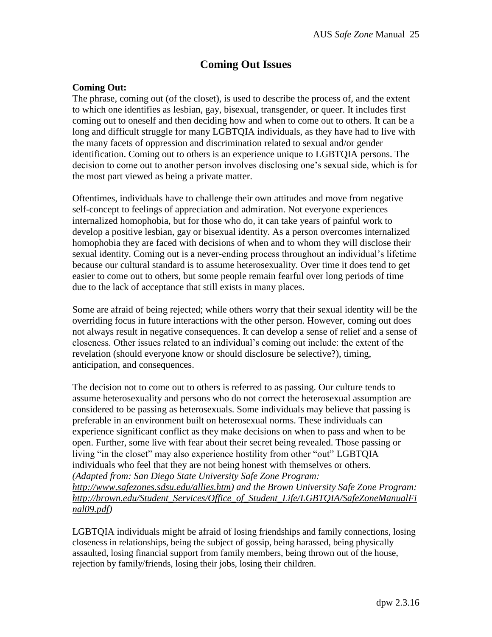# **Coming Out Issues**

#### **Coming Out:**

The phrase, coming out (of the closet), is used to describe the process of, and the extent to which one identifies as lesbian, gay, bisexual, transgender, or queer. It includes first coming out to oneself and then deciding how and when to come out to others. It can be a long and difficult struggle for many LGBTQIA individuals, as they have had to live with the many facets of oppression and discrimination related to sexual and/or gender identification. Coming out to others is an experience unique to LGBTQIA persons. The decision to come out to another person involves disclosing one's sexual side, which is for the most part viewed as being a private matter.

Oftentimes, individuals have to challenge their own attitudes and move from negative self-concept to feelings of appreciation and admiration. Not everyone experiences internalized homophobia, but for those who do, it can take years of painful work to develop a positive lesbian, gay or bisexual identity. As a person overcomes internalized homophobia they are faced with decisions of when and to whom they will disclose their sexual identity. Coming out is a never-ending process throughout an individual's lifetime because our cultural standard is to assume heterosexuality. Over time it does tend to get easier to come out to others, but some people remain fearful over long periods of time due to the lack of acceptance that still exists in many places.

Some are afraid of being rejected; while others worry that their sexual identity will be the overriding focus in future interactions with the other person. However, coming out does not always result in negative consequences. It can develop a sense of relief and a sense of closeness. Other issues related to an individual's coming out include: the extent of the revelation (should everyone know or should disclosure be selective?), timing, anticipation, and consequences.

The decision not to come out to others is referred to as passing. Our culture tends to assume heterosexuality and persons who do not correct the heterosexual assumption are considered to be passing as heterosexuals. Some individuals may believe that passing is preferable in an environment built on heterosexual norms. These individuals can experience significant conflict as they make decisions on when to pass and when to be open. Further, some live with fear about their secret being revealed. Those passing or living "in the closet" may also experience hostility from other "out" LGBTQIA individuals who feel that they are not being honest with themselves or others. *(Adapted from: San Diego State University Safe Zone Program: [http://www.safezones.sdsu.edu/allies.htm\)](http://www.safezones.sdsu.edu/allies.htm) and the Brown University Safe Zone Program: [http://brown.edu/Student\\_Services/Office\\_of\\_Student\\_Life/LGBTQIA/SafeZoneManualFi](http://brown.edu/Student_Services/Office_of_Student_Life/lgbtq/SafeZoneManualFinal09.pdf) [nal09.pdf\)](http://brown.edu/Student_Services/Office_of_Student_Life/lgbtq/SafeZoneManualFinal09.pdf)*

LGBTQIA individuals might be afraid of losing friendships and family connections, losing closeness in relationships, being the subject of gossip, being harassed, being physically assaulted, losing financial support from family members, being thrown out of the house, rejection by family/friends, losing their jobs, losing their children.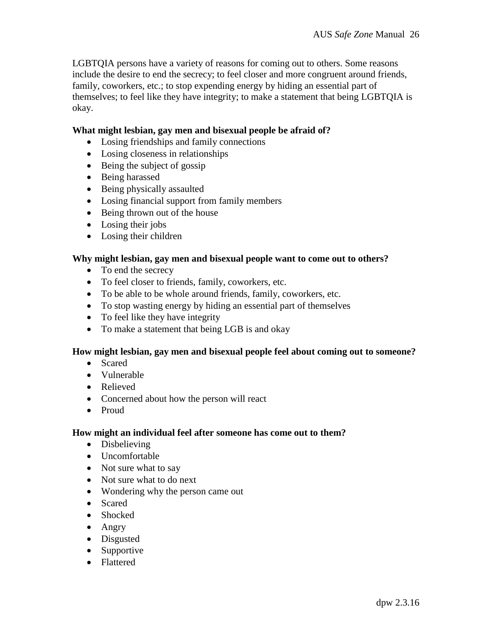LGBTQIA persons have a variety of reasons for coming out to others. Some reasons include the desire to end the secrecy; to feel closer and more congruent around friends, family, coworkers, etc.; to stop expending energy by hiding an essential part of themselves; to feel like they have integrity; to make a statement that being LGBTQIA is okay.

#### **What might lesbian, gay men and bisexual people be afraid of?**

- Losing friendships and family connections
- Losing closeness in relationships
- Being the subject of gossip
- Being harassed
- Being physically assaulted
- Losing financial support from family members
- Being thrown out of the house
- Losing their jobs
- Losing their children

#### **Why might lesbian, gay men and bisexual people want to come out to others?**

- To end the secrecy
- To feel closer to friends, family, coworkers, etc.
- To be able to be whole around friends, family, coworkers, etc.
- To stop wasting energy by hiding an essential part of themselves
- To feel like they have integrity
- To make a statement that being LGB is and okay

#### **How might lesbian, gay men and bisexual people feel about coming out to someone?**

- Scared
- Vulnerable
- Relieved
- Concerned about how the person will react
- Proud

#### **How might an individual feel after someone has come out to them?**

- Disbelieving
- Uncomfortable
- Not sure what to say
- Not sure what to do next
- Wondering why the person came out
- Scared
- Shocked
- Angry
- Disgusted
- Supportive
- Flattered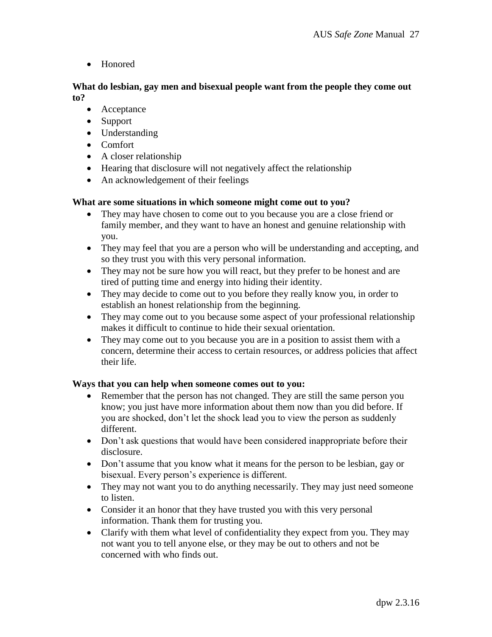• Honored

**What do lesbian, gay men and bisexual people want from the people they come out to?** 

- Acceptance
- Support
- Understanding
- Comfort
- A closer relationship
- Hearing that disclosure will not negatively affect the relationship
- An acknowledgement of their feelings

### **What are some situations in which someone might come out to you?**

- They may have chosen to come out to you because you are a close friend or family member, and they want to have an honest and genuine relationship with you.
- They may feel that you are a person who will be understanding and accepting, and so they trust you with this very personal information.
- They may not be sure how you will react, but they prefer to be honest and are tired of putting time and energy into hiding their identity.
- They may decide to come out to you before they really know you, in order to establish an honest relationship from the beginning.
- They may come out to you because some aspect of your professional relationship makes it difficult to continue to hide their sexual orientation.
- They may come out to you because you are in a position to assist them with a concern, determine their access to certain resources, or address policies that affect their life.

#### **Ways that you can help when someone comes out to you:**

- Remember that the person has not changed. They are still the same person you know; you just have more information about them now than you did before. If you are shocked, don't let the shock lead you to view the person as suddenly different.
- Don't ask questions that would have been considered inappropriate before their disclosure.
- Don't assume that you know what it means for the person to be lesbian, gay or bisexual. Every person's experience is different.
- They may not want you to do anything necessarily. They may just need someone to listen.
- Consider it an honor that they have trusted you with this very personal information. Thank them for trusting you.
- Clarify with them what level of confidentiality they expect from you. They may not want you to tell anyone else, or they may be out to others and not be concerned with who finds out.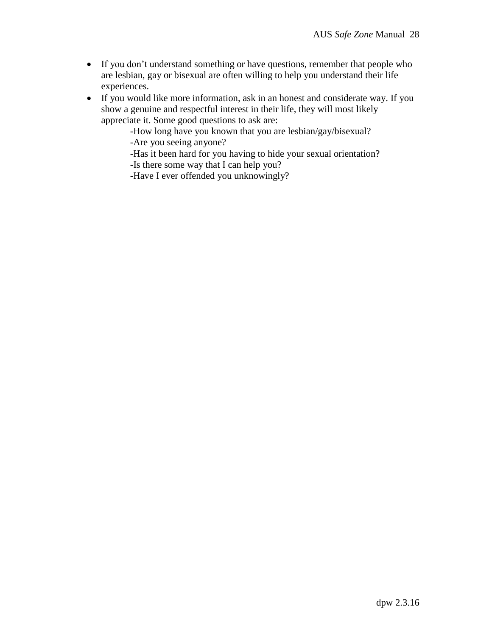- If you don't understand something or have questions, remember that people who are lesbian, gay or bisexual are often willing to help you understand their life experiences.
- If you would like more information, ask in an honest and considerate way. If you show a genuine and respectful interest in their life, they will most likely appreciate it. Some good questions to ask are:

-How long have you known that you are lesbian/gay/bisexual? -Are you seeing anyone?

-Has it been hard for you having to hide your sexual orientation? -Is there some way that I can help you?

-Have I ever offended you unknowingly?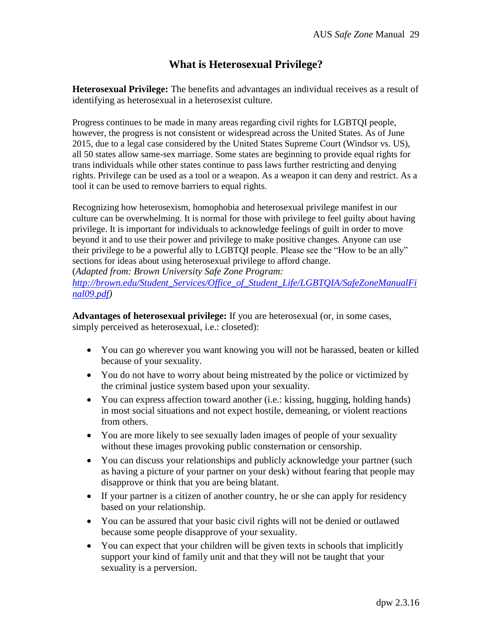# **What is Heterosexual Privilege?**

**Heterosexual Privilege:** The benefits and advantages an individual receives as a result of identifying as heterosexual in a heterosexist culture.

Progress continues to be made in many areas regarding civil rights for LGBTQI people, however, the progress is not consistent or widespread across the United States. As of June 2015, due to a legal case considered by the United States Supreme Court (Windsor vs. US), all 50 states allow same-sex marriage. Some states are beginning to provide equal rights for trans individuals while other states continue to pass laws further restricting and denying rights. Privilege can be used as a tool or a weapon. As a weapon it can deny and restrict. As a tool it can be used to remove barriers to equal rights.

Recognizing how heterosexism, homophobia and heterosexual privilege manifest in our culture can be overwhelming. It is normal for those with privilege to feel guilty about having privilege. It is important for individuals to acknowledge feelings of guilt in order to move beyond it and to use their power and privilege to make positive changes. Anyone can use their privilege to be a powerful ally to LGBTQI people. Please see the "How to be an ally" sections for ideas about using heterosexual privilege to afford change.

(*Adapted from: Brown University Safe Zone Program:*

*[http://brown.edu/Student\\_Services/Office\\_of\\_Student\\_Life/LGBTQIA/SafeZoneManualFi](http://brown.edu/Student_Services/Office_of_Student_Life/lgbtq/SafeZoneManualFinal09.pdf) [nal09.pdf\)](http://brown.edu/Student_Services/Office_of_Student_Life/lgbtq/SafeZoneManualFinal09.pdf)*

**Advantages of heterosexual privilege:** If you are heterosexual (or, in some cases, simply perceived as heterosexual, i.e.: closeted):

- You can go wherever you want knowing you will not be harassed, beaten or killed because of your sexuality.
- You do not have to worry about being mistreated by the police or victimized by the criminal justice system based upon your sexuality.
- You can express affection toward another (i.e.: kissing, hugging, holding hands) in most social situations and not expect hostile, demeaning, or violent reactions from others.
- You are more likely to see sexually laden images of people of your sexuality without these images provoking public consternation or censorship.
- You can discuss your relationships and publicly acknowledge your partner (such as having a picture of your partner on your desk) without fearing that people may disapprove or think that you are being blatant.
- If your partner is a citizen of another country, he or she can apply for residency based on your relationship.
- You can be assured that your basic civil rights will not be denied or outlawed because some people disapprove of your sexuality.
- You can expect that your children will be given texts in schools that implicitly support your kind of family unit and that they will not be taught that your sexuality is a perversion.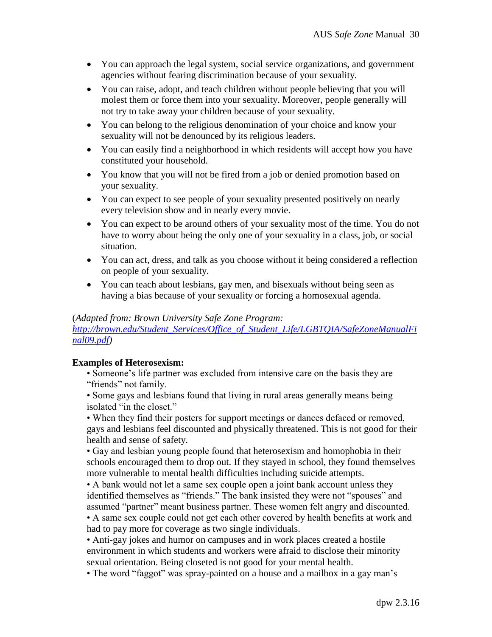- You can approach the legal system, social service organizations, and government agencies without fearing discrimination because of your sexuality.
- You can raise, adopt, and teach children without people believing that you will molest them or force them into your sexuality. Moreover, people generally will not try to take away your children because of your sexuality.
- You can belong to the religious denomination of your choice and know your sexuality will not be denounced by its religious leaders.
- You can easily find a neighborhood in which residents will accept how you have constituted your household.
- You know that you will not be fired from a job or denied promotion based on your sexuality.
- You can expect to see people of your sexuality presented positively on nearly every television show and in nearly every movie.
- You can expect to be around others of your sexuality most of the time. You do not have to worry about being the only one of your sexuality in a class, job, or social situation.
- You can act, dress, and talk as you choose without it being considered a reflection on people of your sexuality.
- You can teach about lesbians, gay men, and bisexuals without being seen as having a bias because of your sexuality or forcing a homosexual agenda.

## (*Adapted from: Brown University Safe Zone Program:*

*[http://brown.edu/Student\\_Services/Office\\_of\\_Student\\_Life/LGBTQIA/SafeZoneManualFi](http://brown.edu/Student_Services/Office_of_Student_Life/lgbtq/SafeZoneManualFinal09.pdf) [nal09.pdf\)](http://brown.edu/Student_Services/Office_of_Student_Life/lgbtq/SafeZoneManualFinal09.pdf)*

## **Examples of Heterosexism:**

• Someone's life partner was excluded from intensive care on the basis they are "friends" not family.

• Some gays and lesbians found that living in rural areas generally means being isolated "in the closet."

• When they find their posters for support meetings or dances defaced or removed, gays and lesbians feel discounted and physically threatened. This is not good for their health and sense of safety.

• Gay and lesbian young people found that heterosexism and homophobia in their schools encouraged them to drop out. If they stayed in school, they found themselves more vulnerable to mental health difficulties including suicide attempts.

• A bank would not let a same sex couple open a joint bank account unless they identified themselves as "friends." The bank insisted they were not "spouses" and assumed "partner" meant business partner. These women felt angry and discounted.

• A same sex couple could not get each other covered by health benefits at work and had to pay more for coverage as two single individuals.

• Anti-gay jokes and humor on campuses and in work places created a hostile environment in which students and workers were afraid to disclose their minority sexual orientation. Being closeted is not good for your mental health.

• The word "faggot" was spray-painted on a house and a mailbox in a gay man's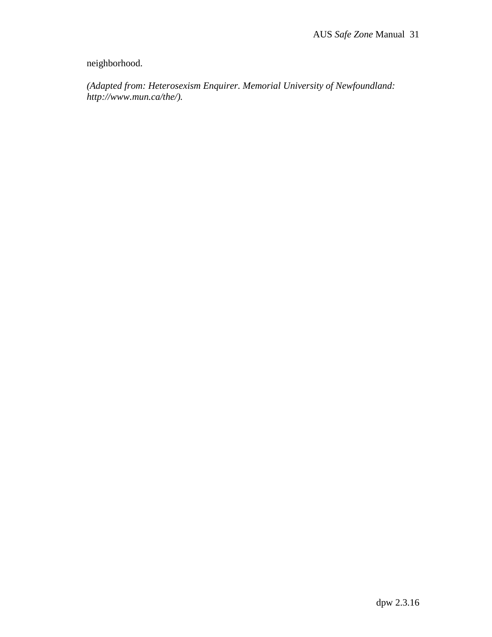# neighborhood.

*(Adapted from: Heterosexism Enquirer. Memorial University of Newfoundland: http://www.mun.ca/the/).*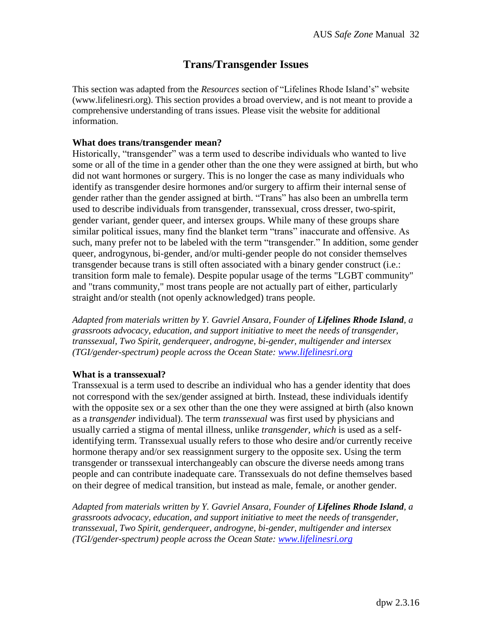# **Trans/Transgender Issues**

This section was adapted from the *Resources* section of "Lifelines Rhode Island's" website (www.lifelinesri.org). This section provides a broad overview, and is not meant to provide a comprehensive understanding of trans issues. Please visit the website for additional information.

#### **What does trans/transgender mean?**

Historically, "transgender" was a term used to describe individuals who wanted to live some or all of the time in a gender other than the one they were assigned at birth, but who did not want hormones or surgery. This is no longer the case as many individuals who identify as transgender desire hormones and/or surgery to affirm their internal sense of gender rather than the gender assigned at birth. "Trans" has also been an umbrella term used to describe individuals from transgender, transsexual, cross dresser, two-spirit, gender variant, gender queer, and intersex groups. While many of these groups share similar political issues, many find the blanket term "trans" inaccurate and offensive. As such, many prefer not to be labeled with the term "transgender." In addition, some gender queer, androgynous, bi-gender, and/or multi-gender people do not consider themselves transgender because trans is still often associated with a binary gender construct (i.e.: transition form male to female). Despite popular usage of the terms "LGBT community" and "trans community," most trans people are not actually part of either, particularly straight and/or stealth (not openly acknowledged) trans people.

Adapted from materials written by Y. Gavriel Ansara, Founder of **Lifelines Rhode Island**, a *grassroots advocacy, education, and support initiative to meet the needs of transgender, transsexual, Two Spirit, genderqueer, androgyne, bi-gender, multigender and intersex (TGI/gender-spectrum) people across the Ocean State: [www.lifelinesri.org](http://www.lifelinesri.org/)*

#### **What is a transsexual?**

Transsexual is a term used to describe an individual who has a gender identity that does not correspond with the sex/gender assigned at birth. Instead, these individuals identify with the opposite sex or a sex other than the one they were assigned at birth (also known as a *transgender* individual). The term *transsexual* was first used by physicians and usually carried a stigma of mental illness, unlike *transgender, which* is used as a selfidentifying term. Transsexual usually refers to those who desire and/or currently receive hormone therapy and/or sex reassignment surgery to the opposite sex. Using the term transgender or transsexual interchangeably can obscure the diverse needs among trans people and can contribute inadequate care. Transsexuals do not define themselves based on their degree of medical transition, but instead as male, female, or another gender.

*Adapted from materials written by Y. Gavriel Ansara, Founder of Lifelines Rhode Island, a grassroots advocacy, education, and support initiative to meet the needs of transgender, transsexual, Two Spirit, genderqueer, androgyne, bi-gender, multigender and intersex (TGI/gender-spectrum) people across the Ocean State: [www.lifelinesri.org](http://www.lifelinesri.org/)*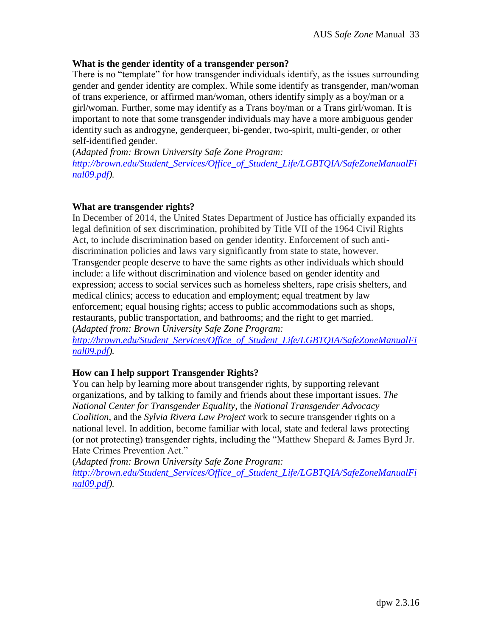#### **What is the gender identity of a transgender person?**

There is no "template" for how transgender individuals identify, as the issues surrounding gender and gender identity are complex. While some identify as transgender, man/woman of trans experience, or affirmed man/woman, others identify simply as a boy/man or a girl/woman. Further, some may identify as a Trans boy/man or a Trans girl/woman. It is important to note that some transgender individuals may have a more ambiguous gender identity such as androgyne, genderqueer, bi-gender, two-spirit, multi-gender, or other self-identified gender.

(*Adapted from: Brown University Safe Zone Program: [http://brown.edu/Student\\_Services/Office\\_of\\_Student\\_Life/LGBTQIA/SafeZoneManualFi](http://brown.edu/Student_Services/Office_of_Student_Life/lgbtq/SafeZoneManualFinal09.pdf) [nal09.pdf\)](http://brown.edu/Student_Services/Office_of_Student_Life/lgbtq/SafeZoneManualFinal09.pdf).*

### **What are transgender rights?**

In December of 2014, the United States Department of Justice has officially expanded its legal definition of sex discrimination, prohibited by Title VII of the 1964 Civil Rights Act, to include discrimination based on gender identity. Enforcement of such antidiscrimination policies and laws vary significantly from state to state, however. Transgender people deserve to have the same rights as other individuals which should include: a life without discrimination and violence based on gender identity and expression; access to social services such as homeless shelters, rape crisis shelters, and medical clinics; access to education and employment; equal treatment by law enforcement; equal housing rights; access to public accommodations such as shops, restaurants, public transportation, and bathrooms; and the right to get married. (*Adapted from: Brown University Safe Zone Program:*

*[http://brown.edu/Student\\_Services/Office\\_of\\_Student\\_Life/LGBTQIA/SafeZoneManualFi](http://brown.edu/Student_Services/Office_of_Student_Life/lgbtq/SafeZoneManualFinal09.pdf) [nal09.pdf\)](http://brown.edu/Student_Services/Office_of_Student_Life/lgbtq/SafeZoneManualFinal09.pdf).*

## **How can I help support Transgender Rights?**

You can help by learning more about transgender rights, by supporting relevant organizations, and by talking to family and friends about these important issues. *The National Center for Transgender Equality,* the *National Transgender Advocacy Coalition*, and the *Sylvia Rivera Law Project* work to secure transgender rights on a national level. In addition, become familiar with local, state and federal laws protecting (or not protecting) transgender rights, including the "Matthew Shepard & James Byrd Jr. Hate Crimes Prevention Act."

(*Adapted from: Brown University Safe Zone Program: [http://brown.edu/Student\\_Services/Office\\_of\\_Student\\_Life/LGBTQIA/SafeZoneManualFi](http://brown.edu/Student_Services/Office_of_Student_Life/lgbtq/SafeZoneManualFinal09.pdf) [nal09.pdf\)](http://brown.edu/Student_Services/Office_of_Student_Life/lgbtq/SafeZoneManualFinal09.pdf).*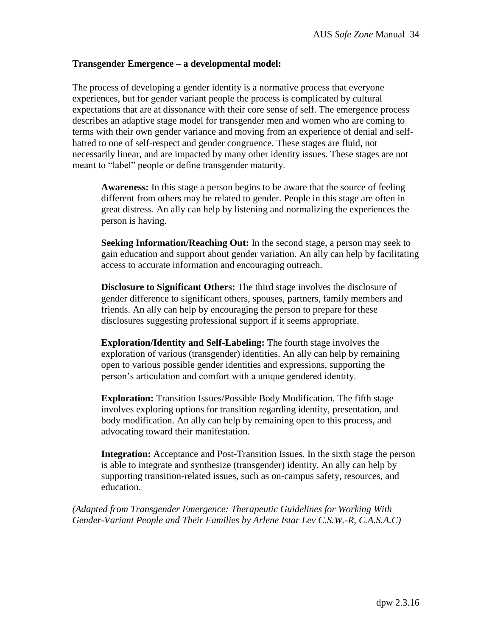#### **Transgender Emergence – a developmental model:**

The process of developing a gender identity is a normative process that everyone experiences, but for gender variant people the process is complicated by cultural expectations that are at dissonance with their core sense of self. The emergence process describes an adaptive stage model for transgender men and women who are coming to terms with their own gender variance and moving from an experience of denial and selfhatred to one of self-respect and gender congruence. These stages are fluid, not necessarily linear, and are impacted by many other identity issues. These stages are not meant to "label" people or define transgender maturity.

**Awareness:** In this stage a person begins to be aware that the source of feeling different from others may be related to gender. People in this stage are often in great distress. An ally can help by listening and normalizing the experiences the person is having.

**Seeking Information/Reaching Out:** In the second stage, a person may seek to gain education and support about gender variation. An ally can help by facilitating access to accurate information and encouraging outreach.

**Disclosure to Significant Others:** The third stage involves the disclosure of gender difference to significant others, spouses, partners, family members and friends. An ally can help by encouraging the person to prepare for these disclosures suggesting professional support if it seems appropriate.

**Exploration/Identity and Self-Labeling:** The fourth stage involves the exploration of various (transgender) identities. An ally can help by remaining open to various possible gender identities and expressions, supporting the person's articulation and comfort with a unique gendered identity.

**Exploration:** Transition Issues/Possible Body Modification. The fifth stage involves exploring options for transition regarding identity, presentation, and body modification. An ally can help by remaining open to this process, and advocating toward their manifestation.

**Integration:** Acceptance and Post-Transition Issues. In the sixth stage the person is able to integrate and synthesize (transgender) identity. An ally can help by supporting transition-related issues, such as on-campus safety, resources, and education.

*(Adapted from Transgender Emergence: Therapeutic Guidelines for Working With Gender-Variant People and Their Families by Arlene Istar Lev C.S.W.-R, C.A.S.A.C)*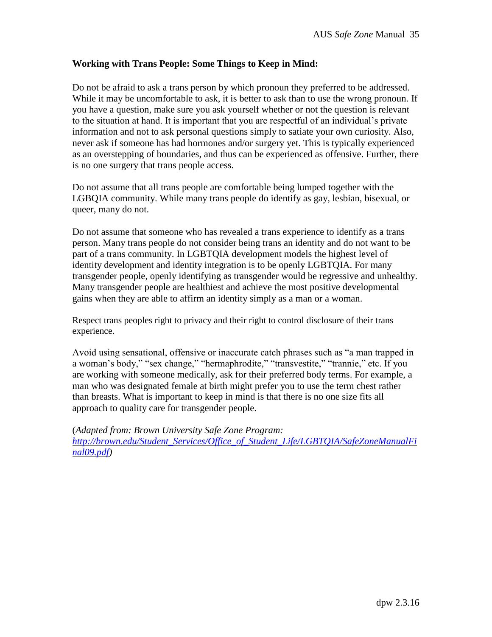## **Working with Trans People: Some Things to Keep in Mind:**

Do not be afraid to ask a trans person by which pronoun they preferred to be addressed. While it may be uncomfortable to ask, it is better to ask than to use the wrong pronoun. If you have a question, make sure you ask yourself whether or not the question is relevant to the situation at hand. It is important that you are respectful of an individual's private information and not to ask personal questions simply to satiate your own curiosity. Also, never ask if someone has had hormones and/or surgery yet. This is typically experienced as an overstepping of boundaries, and thus can be experienced as offensive. Further, there is no one surgery that trans people access.

Do not assume that all trans people are comfortable being lumped together with the LGBQIA community. While many trans people do identify as gay, lesbian, bisexual, or queer, many do not.

Do not assume that someone who has revealed a trans experience to identify as a trans person. Many trans people do not consider being trans an identity and do not want to be part of a trans community. In LGBTQIA development models the highest level of identity development and identity integration is to be openly LGBTQIA. For many transgender people, openly identifying as transgender would be regressive and unhealthy. Many transgender people are healthiest and achieve the most positive developmental gains when they are able to affirm an identity simply as a man or a woman.

Respect trans peoples right to privacy and their right to control disclosure of their trans experience.

Avoid using sensational, offensive or inaccurate catch phrases such as "a man trapped in a woman's body," "sex change," "hermaphrodite," "transvestite," "trannie," etc. If you are working with someone medically, ask for their preferred body terms. For example, a man who was designated female at birth might prefer you to use the term chest rather than breasts. What is important to keep in mind is that there is no one size fits all approach to quality care for transgender people.

(*Adapted from: Brown University Safe Zone Program: [http://brown.edu/Student\\_Services/Office\\_of\\_Student\\_Life/LGBTQIA/SafeZoneManualFi](http://brown.edu/Student_Services/Office_of_Student_Life/lgbtq/SafeZoneManualFinal09.pdf) [nal09.pdf\)](http://brown.edu/Student_Services/Office_of_Student_Life/lgbtq/SafeZoneManualFinal09.pdf)*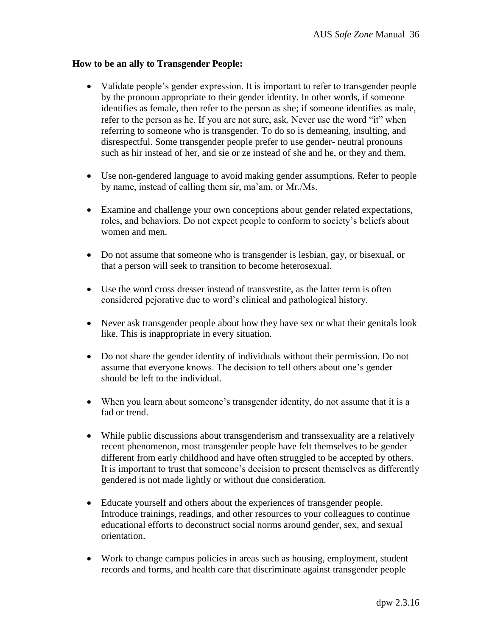#### **How to be an ally to Transgender People:**

- Validate people's gender expression. It is important to refer to transgender people by the pronoun appropriate to their gender identity. In other words, if someone identifies as female, then refer to the person as she; if someone identifies as male, refer to the person as he. If you are not sure, ask. Never use the word "it" when referring to someone who is transgender. To do so is demeaning, insulting, and disrespectful. Some transgender people prefer to use gender- neutral pronouns such as hir instead of her, and sie or ze instead of she and he, or they and them.
- Use non-gendered language to avoid making gender assumptions. Refer to people by name, instead of calling them sir, ma'am, or Mr./Ms.
- Examine and challenge your own conceptions about gender related expectations, roles, and behaviors. Do not expect people to conform to society's beliefs about women and men.
- Do not assume that someone who is transgender is lesbian, gay, or bisexual, or that a person will seek to transition to become heterosexual.
- Use the word cross dresser instead of transvestite, as the latter term is often considered pejorative due to word's clinical and pathological history.
- Never ask transgender people about how they have sex or what their genitals look like. This is inappropriate in every situation.
- Do not share the gender identity of individuals without their permission. Do not assume that everyone knows. The decision to tell others about one's gender should be left to the individual.
- When you learn about someone's transgender identity, do not assume that it is a fad or trend.
- While public discussions about transgenderism and transsexuality are a relatively recent phenomenon, most transgender people have felt themselves to be gender different from early childhood and have often struggled to be accepted by others. It is important to trust that someone's decision to present themselves as differently gendered is not made lightly or without due consideration.
- Educate yourself and others about the experiences of transgender people. Introduce trainings, readings, and other resources to your colleagues to continue educational efforts to deconstruct social norms around gender, sex, and sexual orientation.
- Work to change campus policies in areas such as housing, employment, student records and forms, and health care that discriminate against transgender people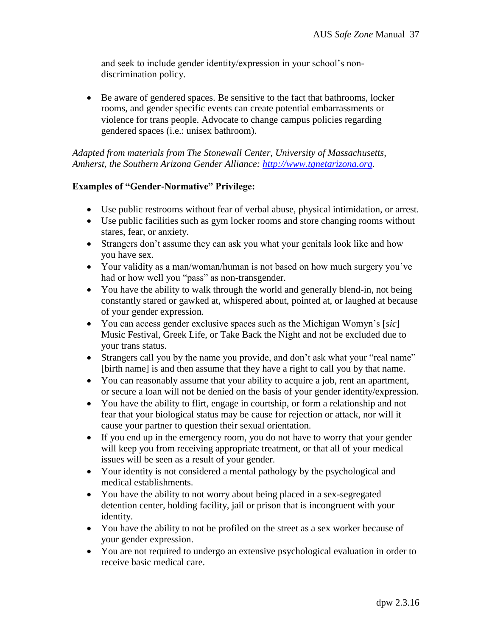and seek to include gender identity/expression in your school's nondiscrimination policy.

 Be aware of gendered spaces. Be sensitive to the fact that bathrooms, locker rooms, and gender specific events can create potential embarrassments or violence for trans people. Advocate to change campus policies regarding gendered spaces (i.e.: unisex bathroom).

*Adapted from materials from The Stonewall Center, University of Massachusetts, Amherst, the Southern Arizona Gender Alliance: [http://www.tgnetarizona.org.](http://www.tgnetarizona.org/)* 

## **Examples of "Gender-Normative" Privilege:**

- Use public restrooms without fear of verbal abuse, physical intimidation, or arrest.
- Use public facilities such as gym locker rooms and store changing rooms without stares, fear, or anxiety.
- Strangers don't assume they can ask you what your genitals look like and how you have sex.
- Your validity as a man/woman/human is not based on how much surgery you've had or how well you "pass" as non-transgender.
- You have the ability to walk through the world and generally blend-in, not being constantly stared or gawked at, whispered about, pointed at, or laughed at because of your gender expression.
- You can access gender exclusive spaces such as the Michigan Womyn's [*sic*] Music Festival, Greek Life, or Take Back the Night and not be excluded due to your trans status.
- Strangers call you by the name you provide, and don't ask what your "real name" [birth name] is and then assume that they have a right to call you by that name.
- You can reasonably assume that your ability to acquire a job, rent an apartment, or secure a loan will not be denied on the basis of your gender identity/expression.
- You have the ability to flirt, engage in courtship, or form a relationship and not fear that your biological status may be cause for rejection or attack, nor will it cause your partner to question their sexual orientation.
- If you end up in the emergency room, you do not have to worry that your gender will keep you from receiving appropriate treatment, or that all of your medical issues will be seen as a result of your gender.
- Your identity is not considered a mental pathology by the psychological and medical establishments.
- You have the ability to not worry about being placed in a sex-segregated detention center, holding facility, jail or prison that is incongruent with your identity.
- You have the ability to not be profiled on the street as a sex worker because of your gender expression.
- You are not required to undergo an extensive psychological evaluation in order to receive basic medical care.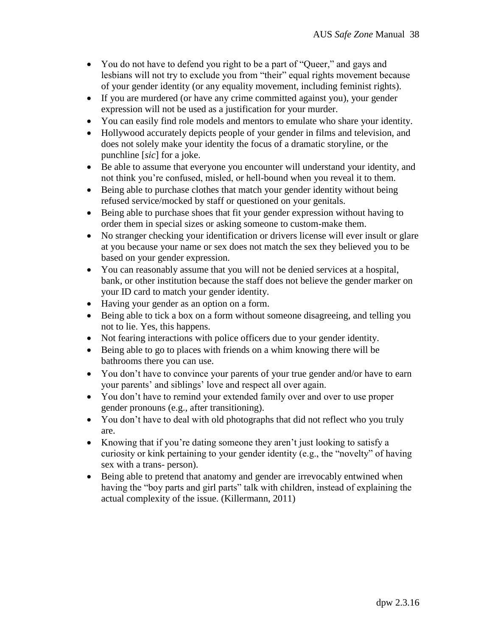- You do not have to defend you right to be a part of "Queer," and gays and lesbians will not try to exclude you from "their" equal rights movement because of your gender identity (or any equality movement, including feminist rights).
- If you are murdered (or have any crime committed against you), your gender expression will not be used as a justification for your murder.
- You can easily find role models and mentors to emulate who share your identity.
- Hollywood accurately depicts people of your gender in films and television, and does not solely make your identity the focus of a dramatic storyline, or the punchline [*sic*] for a joke.
- Be able to assume that everyone you encounter will understand your identity, and not think you're confused, misled, or hell-bound when you reveal it to them.
- Being able to purchase clothes that match your gender identity without being refused service/mocked by staff or questioned on your genitals.
- Being able to purchase shoes that fit your gender expression without having to order them in special sizes or asking someone to custom-make them.
- No stranger checking your identification or drivers license will ever insult or glare at you because your name or sex does not match the sex they believed you to be based on your gender expression.
- You can reasonably assume that you will not be denied services at a hospital, bank, or other institution because the staff does not believe the gender marker on your ID card to match your gender identity.
- Having your gender as an option on a form.
- Being able to tick a box on a form without someone disagreeing, and telling you not to lie. Yes, this happens.
- Not fearing interactions with police officers due to your gender identity.
- Being able to go to places with friends on a whim knowing there will be bathrooms there you can use.
- You don't have to convince your parents of your true gender and/or have to earn your parents' and siblings' love and respect all over again.
- You don't have to remind your extended family over and over to use proper gender pronouns (e.g., after transitioning).
- You don't have to deal with old photographs that did not reflect who you truly are.
- Knowing that if you're dating someone they aren't just looking to satisfy a curiosity or kink pertaining to your gender identity (e.g., the "novelty" of having sex with a trans- person).
- Being able to pretend that anatomy and gender are irrevocably entwined when having the "boy parts and girl parts" talk with children, instead of explaining the actual complexity of the issue. (Killermann, 2011)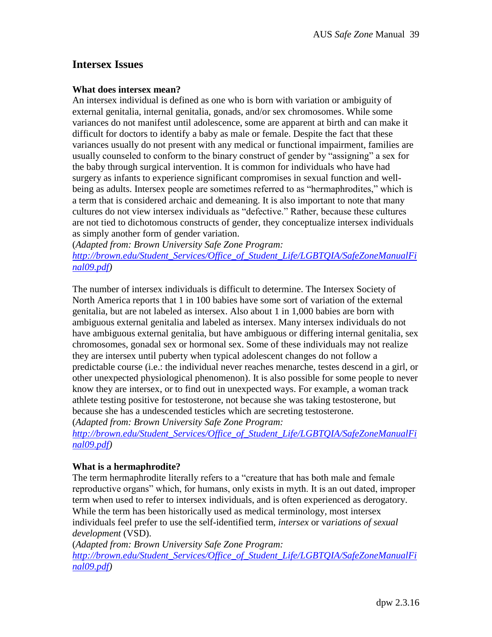# **Intersex Issues**

#### **What does intersex mean?**

An intersex individual is defined as one who is born with variation or ambiguity of external genitalia, internal genitalia, gonads, and/or sex chromosomes. While some variances do not manifest until adolescence, some are apparent at birth and can make it difficult for doctors to identify a baby as male or female. Despite the fact that these variances usually do not present with any medical or functional impairment, families are usually counseled to conform to the binary construct of gender by "assigning" a sex for the baby through surgical intervention. It is common for individuals who have had surgery as infants to experience significant compromises in sexual function and wellbeing as adults. Intersex people are sometimes referred to as "hermaphrodites," which is a term that is considered archaic and demeaning. It is also important to note that many cultures do not view intersex individuals as "defective." Rather, because these cultures are not tied to dichotomous constructs of gender, they conceptualize intersex individuals as simply another form of gender variation.

(*Adapted from: Brown University Safe Zone Program: [http://brown.edu/Student\\_Services/Office\\_of\\_Student\\_Life/LGBTQIA/SafeZoneManualFi](http://brown.edu/Student_Services/Office_of_Student_Life/lgbtq/SafeZoneManualFinal09.pdf) [nal09.pdf\)](http://brown.edu/Student_Services/Office_of_Student_Life/lgbtq/SafeZoneManualFinal09.pdf)*

The number of intersex individuals is difficult to determine. The Intersex Society of North America reports that 1 in 100 babies have some sort of variation of the external genitalia, but are not labeled as intersex. Also about 1 in 1,000 babies are born with ambiguous external genitalia and labeled as intersex. Many intersex individuals do not have ambiguous external genitalia, but have ambiguous or differing internal genitalia, sex chromosomes, gonadal sex or hormonal sex. Some of these individuals may not realize they are intersex until puberty when typical adolescent changes do not follow a predictable course (i.e.: the individual never reaches menarche, testes descend in a girl, or other unexpected physiological phenomenon). It is also possible for some people to never know they are intersex, or to find out in unexpected ways. For example, a woman track athlete testing positive for testosterone, not because she was taking testosterone, but because she has a undescended testicles which are secreting testosterone. (*Adapted from: Brown University Safe Zone Program:*

*[http://brown.edu/Student\\_Services/Office\\_of\\_Student\\_Life/LGBTQIA/SafeZoneManualFi](http://brown.edu/Student_Services/Office_of_Student_Life/lgbtq/SafeZoneManualFinal09.pdf) [nal09.pdf\)](http://brown.edu/Student_Services/Office_of_Student_Life/lgbtq/SafeZoneManualFinal09.pdf)*

## **What is a hermaphrodite?**

The term hermaphrodite literally refers to a "creature that has both male and female reproductive organs" which, for humans, only exists in myth. It is an out dated, improper term when used to refer to intersex individuals, and is often experienced as derogatory. While the term has been historically used as medical terminology, most intersex individuals feel prefer to use the self-identified term, *intersex* or v*ariations of sexual development* (VSD).

(*Adapted from: Brown University Safe Zone Program: [http://brown.edu/Student\\_Services/Office\\_of\\_Student\\_Life/LGBTQIA/SafeZoneManualFi](http://brown.edu/Student_Services/Office_of_Student_Life/lgbtq/SafeZoneManualFinal09.pdf) [nal09.pdf\)](http://brown.edu/Student_Services/Office_of_Student_Life/lgbtq/SafeZoneManualFinal09.pdf)*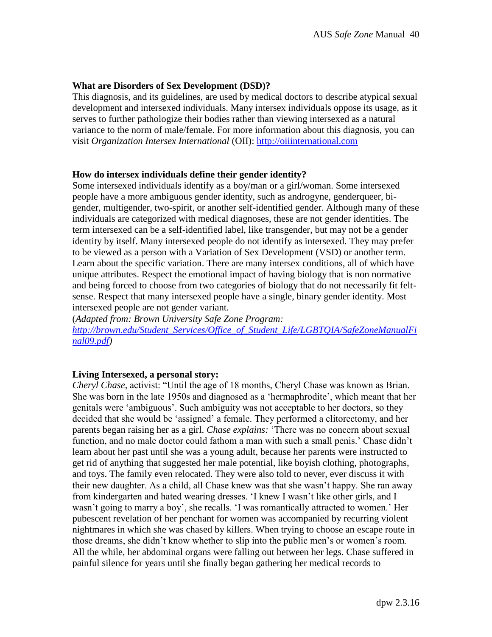#### **What are Disorders of Sex Development (DSD)?**

This diagnosis, and its guidelines, are used by medical doctors to describe atypical sexual development and intersexed individuals. Many intersex individuals oppose its usage, as it serves to further pathologize their bodies rather than viewing intersexed as a natural variance to the norm of male/female. For more information about this diagnosis, you can visit *Organization Intersex International* (OII): [http://oiiinternational.com](http://oiiinternational.com/)

#### **How do intersex individuals define their gender identity?**

Some intersexed individuals identify as a boy/man or a girl/woman. Some intersexed people have a more ambiguous gender identity, such as androgyne, genderqueer, bigender, multigender, two-spirit, or another self-identified gender. Although many of these individuals are categorized with medical diagnoses, these are not gender identities. The term intersexed can be a self-identified label, like transgender, but may not be a gender identity by itself. Many intersexed people do not identify as intersexed. They may prefer to be viewed as a person with a Variation of Sex Development (VSD) or another term. Learn about the specific variation. There are many intersex conditions, all of which have unique attributes. Respect the emotional impact of having biology that is non normative and being forced to choose from two categories of biology that do not necessarily fit feltsense. Respect that many intersexed people have a single, binary gender identity. Most intersexed people are not gender variant.

(*Adapted from: Brown University Safe Zone Program: [http://brown.edu/Student\\_Services/Office\\_of\\_Student\\_Life/LGBTQIA/SafeZoneManualFi](http://brown.edu/Student_Services/Office_of_Student_Life/lgbtq/SafeZoneManualFinal09.pdf) [nal09.pdf\)](http://brown.edu/Student_Services/Office_of_Student_Life/lgbtq/SafeZoneManualFinal09.pdf)*

#### **Living Intersexed, a personal story:**

*Cheryl Chase*, activist: "Until the age of 18 months, Cheryl Chase was known as Brian. She was born in the late 1950s and diagnosed as a 'hermaphrodite', which meant that her genitals were 'ambiguous'. Such ambiguity was not acceptable to her doctors, so they decided that she would be 'assigned' a female. They performed a clitorectomy, and her parents began raising her as a girl. *Chase explains:* 'There was no concern about sexual function, and no male doctor could fathom a man with such a small penis.' Chase didn't learn about her past until she was a young adult, because her parents were instructed to get rid of anything that suggested her male potential, like boyish clothing, photographs, and toys. The family even relocated. They were also told to never, ever discuss it with their new daughter. As a child, all Chase knew was that she wasn't happy. She ran away from kindergarten and hated wearing dresses. 'I knew I wasn't like other girls, and I wasn't going to marry a boy', she recalls. 'I was romantically attracted to women.' Her pubescent revelation of her penchant for women was accompanied by recurring violent nightmares in which she was chased by killers. When trying to choose an escape route in those dreams, she didn't know whether to slip into the public men's or women's room. All the while, her abdominal organs were falling out between her legs. Chase suffered in painful silence for years until she finally began gathering her medical records to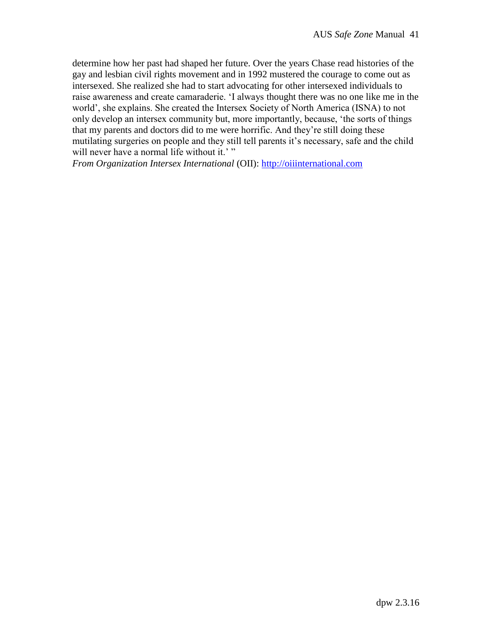determine how her past had shaped her future. Over the years Chase read histories of the gay and lesbian civil rights movement and in 1992 mustered the courage to come out as intersexed. She realized she had to start advocating for other intersexed individuals to raise awareness and create camaraderie. 'I always thought there was no one like me in the world', she explains. She created the Intersex Society of North America (ISNA) to not only develop an intersex community but, more importantly, because, 'the sorts of things that my parents and doctors did to me were horrific. And they're still doing these mutilating surgeries on people and they still tell parents it's necessary, safe and the child will never have a normal life without it.'"

*From Organization Intersex International* (OII): [http://oiiinternational.com](http://oiiinternational.com/)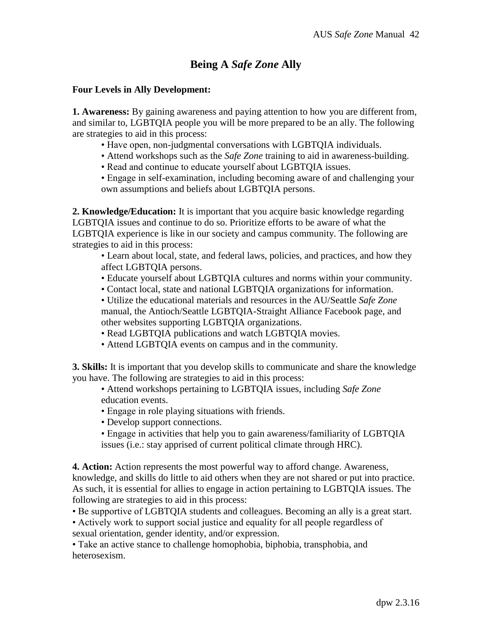# **Being A** *Safe Zone* **Ally**

#### **Four Levels in Ally Development:**

**1. Awareness:** By gaining awareness and paying attention to how you are different from, and similar to, LGBTQIA people you will be more prepared to be an ally. The following are strategies to aid in this process:

- Have open, non-judgmental conversations with LGBTQIA individuals.
- Attend workshops such as the *Safe Zone* training to aid in awareness-building.
- Read and continue to educate yourself about LGBTQIA issues.
- Engage in self-examination, including becoming aware of and challenging your own assumptions and beliefs about LGBTQIA persons.

**2. Knowledge/Education:** It is important that you acquire basic knowledge regarding LGBTQIA issues and continue to do so. Prioritize efforts to be aware of what the LGBTQIA experience is like in our society and campus community. The following are strategies to aid in this process:

• Learn about local, state, and federal laws, policies, and practices, and how they affect LGBTQIA persons.

- Educate yourself about LGBTQIA cultures and norms within your community.
- Contact local, state and national LGBTQIA organizations for information.

• Utilize the educational materials and resources in the AU/Seattle *Safe Zone* manual, the Antioch/Seattle LGBTQIA-Straight Alliance Facebook page, and other websites supporting LGBTQIA organizations.

- Read LGBTQIA publications and watch LGBTQIA movies.
- Attend LGBTQIA events on campus and in the community.

**3. Skills:** It is important that you develop skills to communicate and share the knowledge you have. The following are strategies to aid in this process:

• Attend workshops pertaining to LGBTQIA issues, including *Safe Zone* education events.

- Engage in role playing situations with friends.
- Develop support connections.
- Engage in activities that help you to gain awareness/familiarity of LGBTQIA issues (i.e.: stay apprised of current political climate through HRC).

**4. Action:** Action represents the most powerful way to afford change. Awareness, knowledge, and skills do little to aid others when they are not shared or put into practice. As such, it is essential for allies to engage in action pertaining to LGBTQIA issues. The following are strategies to aid in this process:

- Be supportive of LGBTQIA students and colleagues. Becoming an ally is a great start.
- Actively work to support social justice and equality for all people regardless of sexual orientation, gender identity, and/or expression.

• Take an active stance to challenge homophobia, biphobia, transphobia, and heterosexism.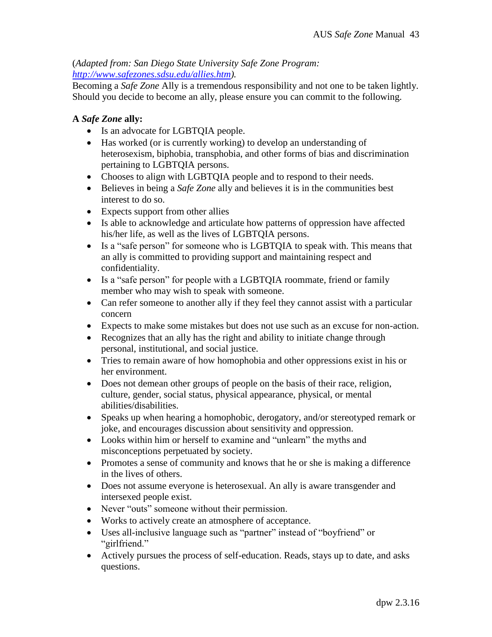# (*Adapted from: San Diego State University Safe Zone Program: [http://www.safezones.sdsu.edu/allies.htm\)](http://www.safezones.sdsu.edu/allies.htm).*

Becoming a *Safe Zone* Ally is a tremendous responsibility and not one to be taken lightly. Should you decide to become an ally, please ensure you can commit to the following.

# **A** *Safe Zone* **ally:**

- Is an advocate for LGBTQIA people.
- Has worked (or is currently working) to develop an understanding of heterosexism, biphobia, transphobia, and other forms of bias and discrimination pertaining to LGBTQIA persons.
- Chooses to align with LGBTQIA people and to respond to their needs.
- Believes in being a *Safe Zone* ally and believes it is in the communities best interest to do so.
- Expects support from other allies
- Is able to acknowledge and articulate how patterns of oppression have affected his/her life, as well as the lives of LGBTQIA persons.
- Is a "safe person" for someone who is LGBTQIA to speak with. This means that an ally is committed to providing support and maintaining respect and confidentiality.
- Is a "safe person" for people with a LGBTOIA roommate, friend or family member who may wish to speak with someone.
- Can refer someone to another ally if they feel they cannot assist with a particular concern
- Expects to make some mistakes but does not use such as an excuse for non-action.
- Recognizes that an ally has the right and ability to initiate change through personal, institutional, and social justice.
- Tries to remain aware of how homophobia and other oppressions exist in his or her environment.
- Does not demean other groups of people on the basis of their race, religion, culture, gender, social status, physical appearance, physical, or mental abilities/disabilities.
- Speaks up when hearing a homophobic, derogatory, and/or stereotyped remark or joke, and encourages discussion about sensitivity and oppression.
- Looks within him or herself to examine and "unlearn" the myths and misconceptions perpetuated by society.
- Promotes a sense of community and knows that he or she is making a difference in the lives of others.
- Does not assume everyone is heterosexual. An ally is aware transgender and intersexed people exist.
- Never "outs" someone without their permission.
- Works to actively create an atmosphere of acceptance.
- Uses all-inclusive language such as "partner" instead of "boyfriend" or "girlfriend."
- Actively pursues the process of self-education. Reads, stays up to date, and asks questions.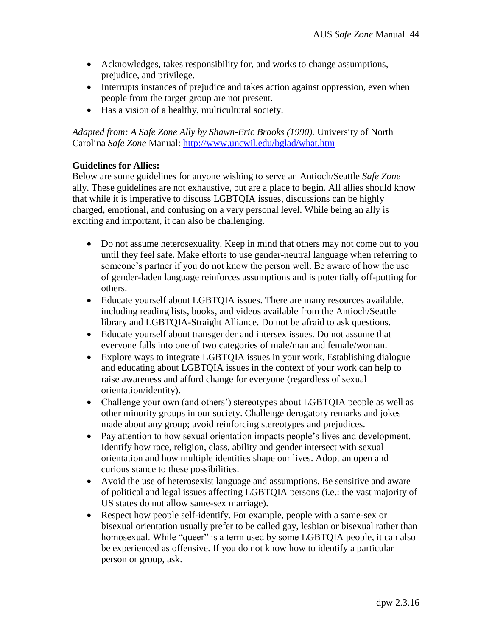- Acknowledges, takes responsibility for, and works to change assumptions, prejudice, and privilege.
- Interrupts instances of prejudice and takes action against oppression, even when people from the target group are not present.
- Has a vision of a healthy, multicultural society.

*Adapted from: A Safe Zone Ally by Shawn-Eric Brooks (1990).* University of North Carolina *Safe Zone* Manual:<http://www.uncwil.edu/bglad/what.htm>

## **Guidelines for Allies:**

Below are some guidelines for anyone wishing to serve an Antioch/Seattle *Safe Zone* ally. These guidelines are not exhaustive, but are a place to begin. All allies should know that while it is imperative to discuss LGBTQIA issues, discussions can be highly charged, emotional, and confusing on a very personal level. While being an ally is exciting and important, it can also be challenging.

- Do not assume heterosexuality. Keep in mind that others may not come out to you until they feel safe. Make efforts to use gender-neutral language when referring to someone's partner if you do not know the person well. Be aware of how the use of gender-laden language reinforces assumptions and is potentially off-putting for others.
- Educate yourself about LGBTQIA issues. There are many resources available, including reading lists, books, and videos available from the Antioch/Seattle library and LGBTQIA-Straight Alliance. Do not be afraid to ask questions.
- Educate yourself about transgender and intersex issues. Do not assume that everyone falls into one of two categories of male/man and female/woman.
- Explore ways to integrate LGBTQIA issues in your work. Establishing dialogue and educating about LGBTQIA issues in the context of your work can help to raise awareness and afford change for everyone (regardless of sexual orientation/identity).
- Challenge your own (and others') stereotypes about LGBTQIA people as well as other minority groups in our society. Challenge derogatory remarks and jokes made about any group; avoid reinforcing stereotypes and prejudices.
- Pay attention to how sexual orientation impacts people's lives and development. Identify how race, religion, class, ability and gender intersect with sexual orientation and how multiple identities shape our lives. Adopt an open and curious stance to these possibilities.
- Avoid the use of heterosexist language and assumptions. Be sensitive and aware of political and legal issues affecting LGBTQIA persons (i.e.: the vast majority of US states do not allow same-sex marriage).
- Respect how people self-identify. For example, people with a same-sex or bisexual orientation usually prefer to be called gay, lesbian or bisexual rather than homosexual. While "queer" is a term used by some LGBTQIA people, it can also be experienced as offensive. If you do not know how to identify a particular person or group, ask.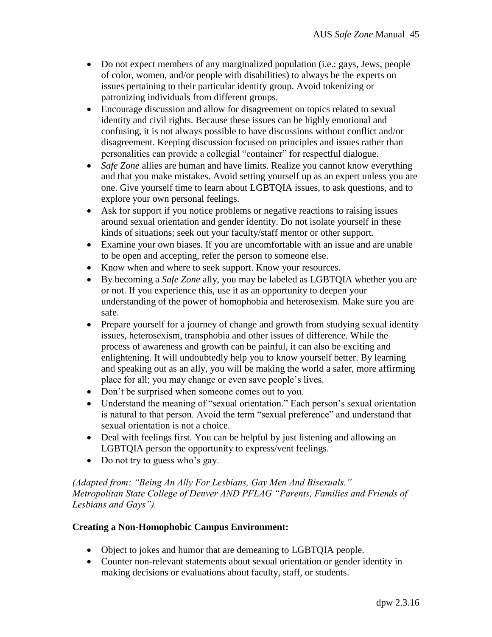- Do not expect members of any marginalized population (i.e.: gays, Jews, people of color, women, and/or people with disabilities) to always be the experts on issues pertaining to their particular identity group. Avoid tokenizing or patronizing individuals from different groups.
- Encourage discussion and allow for disagreement on topics related to sexual identity and civil rights. Because these issues can be highly emotional and confusing, it is not always possible to have discussions without conflict and/or disagreement. Keeping discussion focused on principles and issues rather than personalities can provide a collegial "container" for respectful dialogue.
- *Safe Zone* allies are human and have limits. Realize you cannot know everything and that you make mistakes. Avoid setting yourself up as an expert unless you are one. Give yourself time to learn about LGBTQIA issues, to ask questions, and to explore your own personal feelings.
- Ask for support if you notice problems or negative reactions to raising issues around sexual orientation and gender identity. Do not isolate yourself in these kinds of situations; seek out your faculty/staff mentor or other support.
- Examine your own biases. If you are uncomfortable with an issue and are unable to be open and accepting, refer the person to someone else.
- Know when and where to seek support. Know your resources.
- By becoming a *Safe Zone* ally, you may be labeled as LGBTQIA whether you are or not. If you experience this, use it as an opportunity to deepen your understanding of the power of homophobia and heterosexism. Make sure you are safe.
- Prepare yourself for a journey of change and growth from studying sexual identity issues, heterosexism, transphobia and other issues of difference. While the process of awareness and growth can be painful, it can also be exciting and enlightening. It will undoubtedly help you to know yourself better. By learning and speaking out as an ally, you will be making the world a safer, more affirming place for all; you may change or even save people's lives.
- Don't be surprised when someone comes out to you.
- Understand the meaning of "sexual orientation." Each person's sexual orientation is natural to that person. Avoid the term "sexual preference" and understand that sexual orientation is not a choice.
- Deal with feelings first. You can be helpful by just listening and allowing an LGBTQIA person the opportunity to express/vent feelings.
- Do not try to guess who's gay.

*(Adapted from: "Being An Ally For Lesbians, Gay Men And Bisexuals." Metropolitan State College of Denver AND PFLAG "Parents, Families and Friends of Lesbians and Gays").*

#### **Creating a Non-Homophobic Campus Environment:**

- Object to jokes and humor that are demeaning to LGBTQIA people.
- Counter non-relevant statements about sexual orientation or gender identity in making decisions or evaluations about faculty, staff, or students.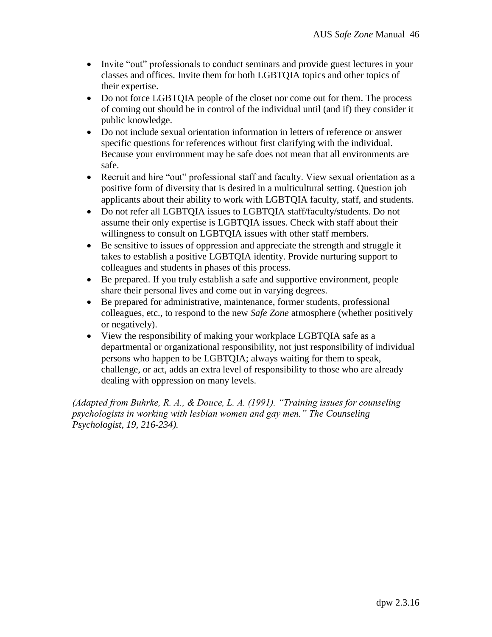- Invite "out" professionals to conduct seminars and provide guest lectures in your classes and offices. Invite them for both LGBTQIA topics and other topics of their expertise.
- Do not force LGBTQIA people of the closet nor come out for them. The process of coming out should be in control of the individual until (and if) they consider it public knowledge.
- Do not include sexual orientation information in letters of reference or answer specific questions for references without first clarifying with the individual. Because your environment may be safe does not mean that all environments are safe.
- Recruit and hire "out" professional staff and faculty. View sexual orientation as a positive form of diversity that is desired in a multicultural setting. Question job applicants about their ability to work with LGBTQIA faculty, staff, and students.
- Do not refer all LGBTQIA issues to LGBTQIA staff/faculty/students. Do not assume their only expertise is LGBTQIA issues. Check with staff about their willingness to consult on LGBTQIA issues with other staff members.
- Be sensitive to issues of oppression and appreciate the strength and struggle it takes to establish a positive LGBTQIA identity. Provide nurturing support to colleagues and students in phases of this process.
- Be prepared. If you truly establish a safe and supportive environment, people share their personal lives and come out in varying degrees.
- Be prepared for administrative, maintenance, former students, professional colleagues, etc., to respond to the new *Safe Zone* atmosphere (whether positively or negatively).
- View the responsibility of making your workplace LGBTQIA safe as a departmental or organizational responsibility, not just responsibility of individual persons who happen to be LGBTQIA; always waiting for them to speak, challenge, or act, adds an extra level of responsibility to those who are already dealing with oppression on many levels.

*(Adapted from Buhrke, R. A., & Douce, L. A. (1991). "Training issues for counseling psychologists in working with lesbian women and gay men." The Counseling Psychologist, 19, 216-234).*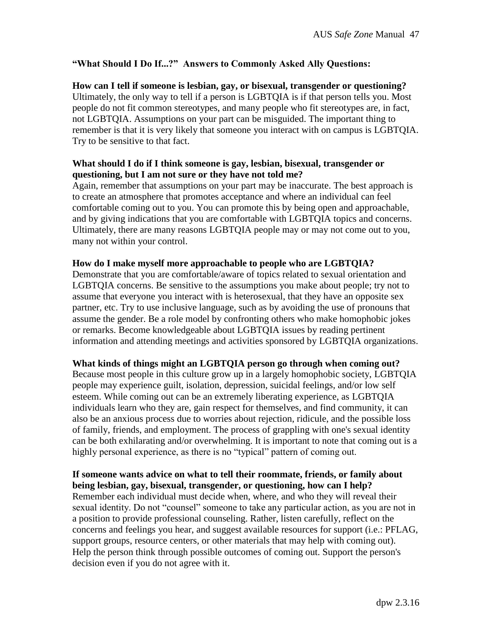## **"What Should I Do If...?" Answers to Commonly Asked Ally Questions:**

**How can I tell if someone is lesbian, gay, or bisexual, transgender or questioning?** Ultimately, the only way to tell if a person is LGBTQIA is if that person tells you. Most people do not fit common stereotypes, and many people who fit stereotypes are, in fact, not LGBTQIA. Assumptions on your part can be misguided. The important thing to remember is that it is very likely that someone you interact with on campus is LGBTQIA. Try to be sensitive to that fact.

## **What should I do if I think someone is gay, lesbian, bisexual, transgender or questioning, but I am not sure or they have not told me?**

Again, remember that assumptions on your part may be inaccurate. The best approach is to create an atmosphere that promotes acceptance and where an individual can feel comfortable coming out to you. You can promote this by being open and approachable, and by giving indications that you are comfortable with LGBTQIA topics and concerns. Ultimately, there are many reasons LGBTQIA people may or may not come out to you, many not within your control.

#### **How do I make myself more approachable to people who are LGBTQIA?**

Demonstrate that you are comfortable/aware of topics related to sexual orientation and LGBTQIA concerns. Be sensitive to the assumptions you make about people; try not to assume that everyone you interact with is heterosexual, that they have an opposite sex partner, etc. Try to use inclusive language, such as by avoiding the use of pronouns that assume the gender. Be a role model by confronting others who make homophobic jokes or remarks. Become knowledgeable about LGBTQIA issues by reading pertinent information and attending meetings and activities sponsored by LGBTQIA organizations.

#### **What kinds of things might an LGBTQIA person go through when coming out?**

Because most people in this culture grow up in a largely homophobic society, LGBTQIA people may experience guilt, isolation, depression, suicidal feelings, and/or low self esteem. While coming out can be an extremely liberating experience, as LGBTQIA individuals learn who they are, gain respect for themselves, and find community, it can also be an anxious process due to worries about rejection, ridicule, and the possible loss of family, friends, and employment. The process of grappling with one's sexual identity can be both exhilarating and/or overwhelming. It is important to note that coming out is a highly personal experience, as there is no "typical" pattern of coming out.

#### **If someone wants advice on what to tell their roommate, friends, or family about being lesbian, gay, bisexual, transgender, or questioning, how can I help?**

Remember each individual must decide when, where, and who they will reveal their sexual identity. Do not "counsel" someone to take any particular action, as you are not in a position to provide professional counseling. Rather, listen carefully, reflect on the concerns and feelings you hear, and suggest available resources for support (i.e.: PFLAG, support groups, resource centers, or other materials that may help with coming out). Help the person think through possible outcomes of coming out. Support the person's decision even if you do not agree with it.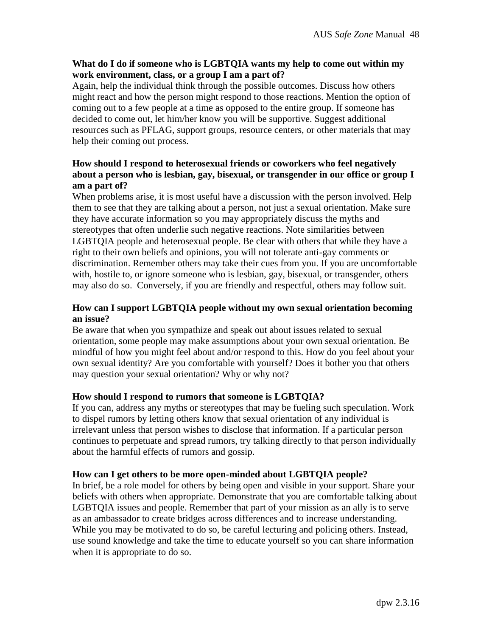#### **What do I do if someone who is LGBTQIA wants my help to come out within my work environment, class, or a group I am a part of?**

Again, help the individual think through the possible outcomes. Discuss how others might react and how the person might respond to those reactions. Mention the option of coming out to a few people at a time as opposed to the entire group. If someone has decided to come out, let him/her know you will be supportive. Suggest additional resources such as PFLAG, support groups, resource centers, or other materials that may help their coming out process.

## **How should I respond to heterosexual friends or coworkers who feel negatively about a person who is lesbian, gay, bisexual, or transgender in our office or group I am a part of?**

When problems arise, it is most useful have a discussion with the person involved. Help them to see that they are talking about a person, not just a sexual orientation. Make sure they have accurate information so you may appropriately discuss the myths and stereotypes that often underlie such negative reactions. Note similarities between LGBTQIA people and heterosexual people. Be clear with others that while they have a right to their own beliefs and opinions, you will not tolerate anti-gay comments or discrimination. Remember others may take their cues from you. If you are uncomfortable with, hostile to, or ignore someone who is lesbian, gay, bisexual, or transgender, others may also do so. Conversely, if you are friendly and respectful, others may follow suit.

## **How can I support LGBTQIA people without my own sexual orientation becoming an issue?**

Be aware that when you sympathize and speak out about issues related to sexual orientation, some people may make assumptions about your own sexual orientation. Be mindful of how you might feel about and/or respond to this. How do you feel about your own sexual identity? Are you comfortable with yourself? Does it bother you that others may question your sexual orientation? Why or why not?

## **How should I respond to rumors that someone is LGBTQIA?**

If you can, address any myths or stereotypes that may be fueling such speculation. Work to dispel rumors by letting others know that sexual orientation of any individual is irrelevant unless that person wishes to disclose that information. If a particular person continues to perpetuate and spread rumors, try talking directly to that person individually about the harmful effects of rumors and gossip.

#### **How can I get others to be more open-minded about LGBTQIA people?**

In brief, be a role model for others by being open and visible in your support. Share your beliefs with others when appropriate. Demonstrate that you are comfortable talking about LGBTQIA issues and people. Remember that part of your mission as an ally is to serve as an ambassador to create bridges across differences and to increase understanding. While you may be motivated to do so, be careful lecturing and policing others. Instead, use sound knowledge and take the time to educate yourself so you can share information when it is appropriate to do so.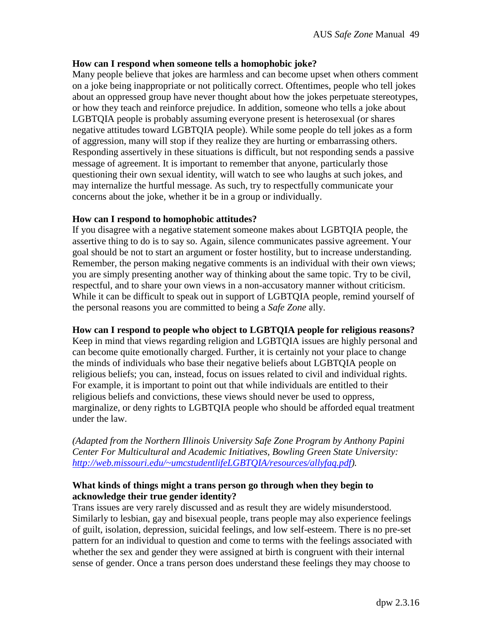### **How can I respond when someone tells a homophobic joke?**

Many people believe that jokes are harmless and can become upset when others comment on a joke being inappropriate or not politically correct. Oftentimes, people who tell jokes about an oppressed group have never thought about how the jokes perpetuate stereotypes, or how they teach and reinforce prejudice. In addition, someone who tells a joke about LGBTQIA people is probably assuming everyone present is heterosexual (or shares negative attitudes toward LGBTQIA people). While some people do tell jokes as a form of aggression, many will stop if they realize they are hurting or embarrassing others. Responding assertively in these situations is difficult, but not responding sends a passive message of agreement. It is important to remember that anyone, particularly those questioning their own sexual identity, will watch to see who laughs at such jokes, and may internalize the hurtful message. As such, try to respectfully communicate your concerns about the joke, whether it be in a group or individually.

### **How can I respond to homophobic attitudes?**

If you disagree with a negative statement someone makes about LGBTQIA people, the assertive thing to do is to say so. Again, silence communicates passive agreement. Your goal should be not to start an argument or foster hostility, but to increase understanding. Remember, the person making negative comments is an individual with their own views; you are simply presenting another way of thinking about the same topic. Try to be civil, respectful, and to share your own views in a non-accusatory manner without criticism. While it can be difficult to speak out in support of LGBTQIA people, remind yourself of the personal reasons you are committed to being a *Safe Zone* ally.

**How can I respond to people who object to LGBTQIA people for religious reasons?** Keep in mind that views regarding religion and LGBTQIA issues are highly personal and can become quite emotionally charged. Further, it is certainly not your place to change the minds of individuals who base their negative beliefs about LGBTQIA people on religious beliefs; you can, instead, focus on issues related to civil and individual rights. For example, it is important to point out that while individuals are entitled to their religious beliefs and convictions, these views should never be used to oppress, marginalize, or deny rights to LGBTQIA people who should be afforded equal treatment under the law.

*(Adapted from the Northern Illinois University Safe Zone Program by Anthony Papini Center For Multicultural and Academic Initiatives, Bowling Green State University: [http://web.missouri.edu/~umcstudentlifeLGBTQIA/resources/allyfaq.pdf\)](http://web.missouri.edu/~umcstudentlifeLGBTQ/resources/allyfaq.pdf).* 

### **What kinds of things might a trans person go through when they begin to acknowledge their true gender identity?**

Trans issues are very rarely discussed and as result they are widely misunderstood. Similarly to lesbian, gay and bisexual people, trans people may also experience feelings of guilt, isolation, depression, suicidal feelings, and low self-esteem. There is no pre-set pattern for an individual to question and come to terms with the feelings associated with whether the sex and gender they were assigned at birth is congruent with their internal sense of gender. Once a trans person does understand these feelings they may choose to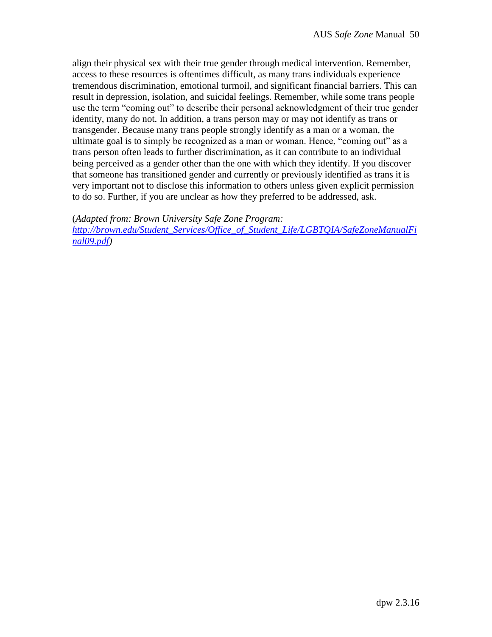align their physical sex with their true gender through medical intervention. Remember, access to these resources is oftentimes difficult, as many trans individuals experience tremendous discrimination, emotional turmoil, and significant financial barriers. This can result in depression, isolation, and suicidal feelings. Remember, while some trans people use the term "coming out" to describe their personal acknowledgment of their true gender identity, many do not. In addition, a trans person may or may not identify as trans or transgender. Because many trans people strongly identify as a man or a woman, the ultimate goal is to simply be recognized as a man or woman. Hence, "coming out" as a trans person often leads to further discrimination, as it can contribute to an individual being perceived as a gender other than the one with which they identify. If you discover that someone has transitioned gender and currently or previously identified as trans it is very important not to disclose this information to others unless given explicit permission to do so. Further, if you are unclear as how they preferred to be addressed, ask.

(*Adapted from: Brown University Safe Zone Program:*

*[http://brown.edu/Student\\_Services/Office\\_of\\_Student\\_Life/LGBTQIA/SafeZoneManualFi](http://brown.edu/Student_Services/Office_of_Student_Life/lgbtq/SafeZoneManualFinal09.pdf) [nal09.pdf\)](http://brown.edu/Student_Services/Office_of_Student_Life/lgbtq/SafeZoneManualFinal09.pdf)*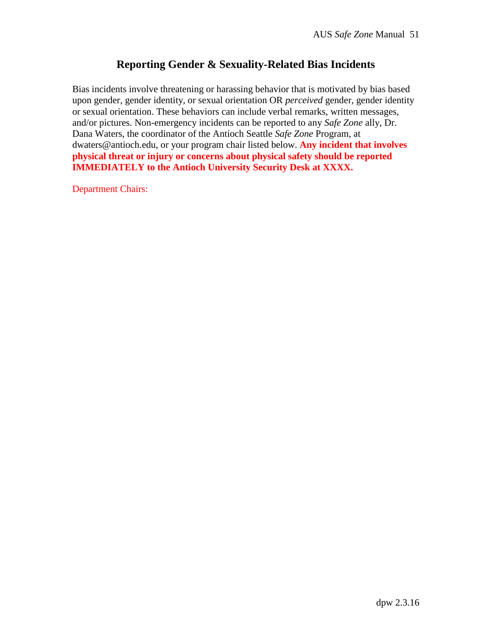# **Reporting Gender & Sexuality-Related Bias Incidents**

Bias incidents involve threatening or harassing behavior that is motivated by bias based upon gender, gender identity, or sexual orientation OR *perceived* gender, gender identity or sexual orientation. These behaviors can include verbal remarks, written messages, and/or pictures. Non-emergency incidents can be reported to any *Safe Zone* ally, Dr. Dana Waters, the coordinator of the Antioch Seattle *Safe Zone* Program, at dwaters@antioch.edu, or your program chair listed below. **Any incident that involves physical threat or injury or concerns about physical safety should be reported IMMEDIATELY to the Antioch University Security Desk at XXXX.**

Department Chairs: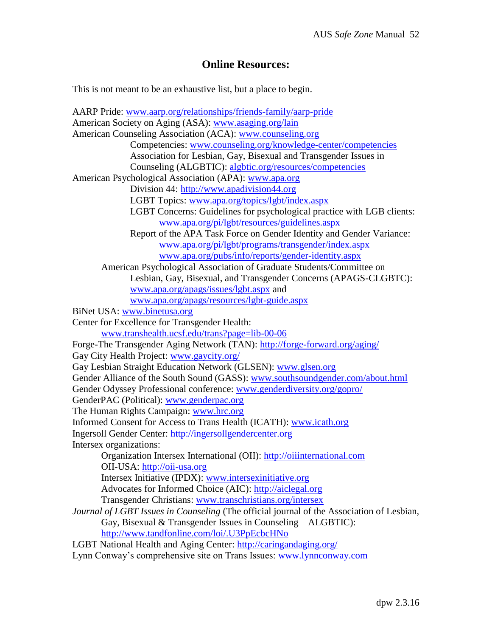## **Online Resources:**

This is not meant to be an exhaustive list, but a place to begin.

AARP Pride: [www.aarp.org/relationships/friends-family/aarp-pride](http://www.aarp.org/relationships/friends-family/aarp-pride) American Society on Aging (ASA): [www.asaging.org/lain](http://www.asaging.org/lain) American Counseling Association (ACA): [www.counseling.org](http://www.counseling.org/) Competencies: [www.counseling.org/knowledge-center/competencies](http://www.counseling.org/knowledge-center/competencies) Association for Lesbian, Gay, Bisexual and Transgender Issues in Counseling (ALGBTIC): [algbtic.org/resources/competencies](http://algbtic.org/resources/competencies) American Psychological Association (APA): [www.apa.org](http://www.apa.org/) Division 44: [http://www.apadivision44.org](http://www.apadivision44.org/) LGBT Topics: [www.apa.org/topics/lgbt/index.aspx](http://www.apa.org/topics/lgbt/index.aspx) LGBT Concerns: Guidelines for psychological practice with LGB clients: [www.apa.org/pi/lgbt/resources/guidelines.aspx](http://www.apa.org/pi/lgbt/resources/guidelines.aspx) Report of the APA Task Force on Gender Identity and Gender Variance: [www.apa.org/pi/lgbt/programs/transgender/index.aspx](http://www.apa.org/pi/lgbt/programs/transgender/index.aspx) [www.apa.org/pubs/info/reports/gender-identity.aspx](http://www.apa.org/pubs/info/reports/gender-identity.aspx) American Psychological Association of Graduate Students/Committee on Lesbian, Gay, Bisexual, and Transgender Concerns (APAGS-CLGBTC): [www.apa.org/apags/issues/lgbt.aspx](http://www.apa.org/apags/issues/lgbt.aspx) and [www.apa.org/apags/resources/lgbt-guide.aspx](http://www.apa.org/apags/resources/lgbt-guide.aspx) BiNet USA: [www.binetusa.org](http://www.binetusa.org/) Center for Excellence for Transgender Health: [www.transhealth.ucsf.edu/trans?page=lib-00-06](http://www.transhealth.ucsf.edu/trans?page=lib-00-06) Forge-The Transgender Aging Network (TAN): <http://forge-forward.org/aging/> Gay City Health Project: [www.gaycity.org/](http://www.gaycity.org/) Gay Lesbian Straight Education Network (GLSEN): [www.glsen.org](http://www.glsen.org/) Gender Alliance of the South Sound (GASS): [www.southsoundgender.com/about.html](http://www.southsoundgender.com/about.html) Gender Odyssey Professional conference: [www.genderdiversity.org/gopro/](http://www.genderdiversity.org/gopro/) GenderPAC (Political): [www.genderpac.org](http://www.genderpac.org/) The Human Rights Campaign: [www.hrc.org](http://www.hrc.org/) Informed Consent for Access to Trans Health (ICATH): [www.icath.org](http://www.icath.org/) Ingersoll Gender Center: [http://ingersollgendercenter.org](http://ingersollgendercenter.org/) Intersex organizations: Organization Intersex International (OII): [http://oiiinternational.com](http://oiiinternational.com/) OII-USA: [http://oii-usa.org](http://oii-usa.org/) Intersex Initiative (IPDX): [www.intersexinitiative.org](http://www.intersexinitiative.org/) Advocates for Informed Choice (AIC): [http://aiclegal.org](http://aiclegal.org/) Transgender Christians: [www.transchristians.org/intersex](http://www.transchristians.org/intersex) *Journal of LGBT Issues in Counseling* (The official journal of the Association of Lesbian, Gay, Bisexual & Transgender Issues in Counseling – ALGBTIC): <http://www.tandfonline.com/loi/.U3PpEcbcHNo> LGBT National Health and Aging Center: <http://caringandaging.org/> Lynn Conway's comprehensive site on Trans Issues: [www.lynnconway.com](http://www.lynnconway.com/)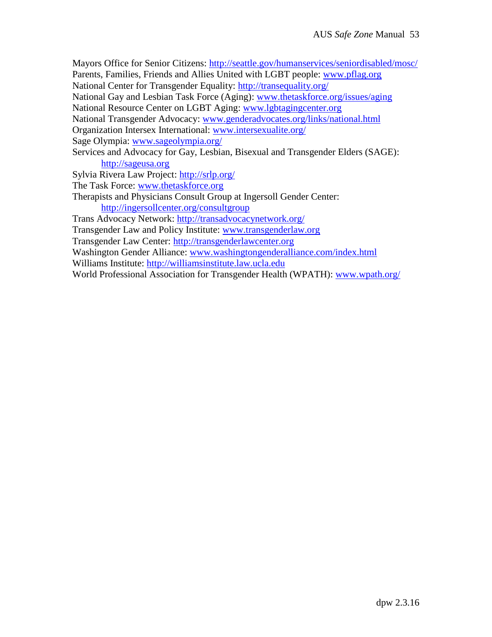Mayors Office for Senior Citizens: <http://seattle.gov/humanservices/seniordisabled/mosc/> Parents, Families, Friends and Allies United with LGBT people: [www.pflag.org](http://www.pflag.org/) National Center for Transgender Equality: <http://transequality.org/> National Gay and Lesbian Task Force (Aging): [www.thetaskforce.org/issues/aging](http://www.thetaskforce.org/issues/aging) National Resource Center on LGBT Aging: [www.lgbtagingcenter.org](http://www.lgbtagingcenter.org/) National Transgender Advocacy: [www.genderadvocates.org/links/national.html](http://www.genderadvocates.org/links/national.html) Organization Intersex International: [www.intersexualite.org/](http://www.intersexualite.org/) Sage Olympia: [www.sageolympia.org/](http://www.sageolympia.org/) Services and Advocacy for Gay, Lesbian, Bisexual and Transgender Elders (SAGE): [http://sageusa.org](http://sageusa.org/) Sylvia Rivera Law Project: <http://srlp.org/> The Task Force: [www.thetaskforce.org](http://www.thetaskforce.org/) Therapists and Physicians Consult Group at Ingersoll Gender Center: <http://ingersollcenter.org/consultgroup> Trans Advocacy Network: <http://transadvocacynetwork.org/> Transgender Law and Policy Institute: [www.transgenderlaw.org](http://www.transgenderlaw.org/) Transgender Law Center: [http://transgenderlawcenter.org](http://transgenderlawcenter.org/) Washington Gender Alliance: [www.washingtongenderalliance.com/index.html](http://www.washingtongenderalliance.com/index.html) Williams Institute: [http://williamsinstitute.law.ucla.edu](http://williamsinstitute.law.ucla.edu/)

World Professional Association for Transgender Health (WPATH): [www.wpath.org/](http://www.wpath.org/)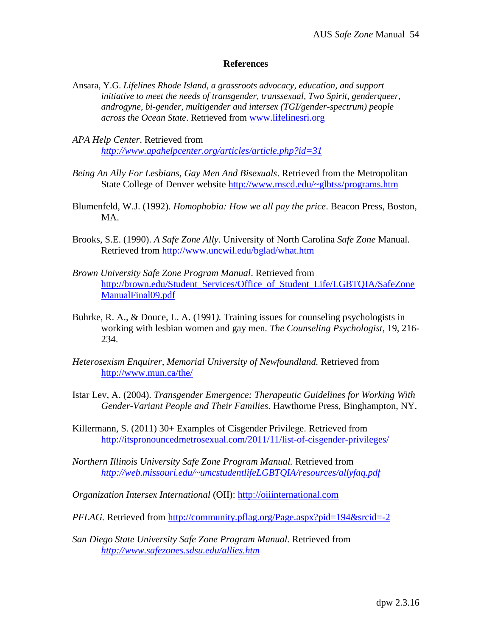#### **References**

- Ansara, Y.G. *Lifelines Rhode Island, a grassroots advocacy, education, and support initiative to meet the needs of transgender, transsexual, Two Spirit, genderqueer, androgyne, bi-gender, multigender and intersex (TGI/gender-spectrum) people across the Ocean State*. Retrieved from [www.lifelinesri.org](http://www.lifelinesri.org/)
- *APA Help Center*. Retrieved from *<http://www.apahelpcenter.org/articles/article.php?id=31>*
- *Being An Ally For Lesbians, Gay Men And Bisexuals*. Retrieved from the Metropolitan State College of Denver website [http://www.mscd.edu/~glbtss/programs.htm](https://email.edmc.edu/OWA/redir.aspx?C=7a56c5699988490f92c11c552d73a959&URL=http%3a%2f%2fwww.mscd.edu%2f%7eglbtss%2fprograms.htm)
- Blumenfeld, W.J. (1992). *Homophobia: How we all pay the price*. Beacon Press, Boston, MA.
- Brooks, S.E. (1990). *A Safe Zone Ally.* University of North Carolina *Safe Zone* Manual. Retrieved from<http://www.uncwil.edu/bglad/what.htm>
- *Brown University Safe Zone Program Manual*. Retrieved from [http://brown.edu/Student\\_Services/Office\\_of\\_Student\\_Life/LGBTQIA/SafeZone](http://brown.edu/Student_Services/Office_of_Student_Life/lgbtq/SafeZoneManualFinal09.pdf) [ManualFinal09.pdf](http://brown.edu/Student_Services/Office_of_Student_Life/lgbtq/SafeZoneManualFinal09.pdf)
- Buhrke, R. A., & Douce, L. A. (1991*).* Training issues for counseling psychologists in working with lesbian women and gay men*. The Counseling Psychologist*, 19, 216- 234.
- *Heterosexism Enquirer, Memorial University of Newfoundland.* Retrieved from <http://www.mun.ca/the/>
- Istar Lev, A. (2004). *Transgender Emergence: Therapeutic Guidelines for Working With Gender-Variant People and Their Families*. Hawthorne Press, Binghampton, NY.
- Killermann, S. (2011) 30+ Examples of Cisgender Privilege. Retrieved from <http://itspronouncedmetrosexual.com/2011/11/list-of-cisgender-privileges/>
- *Northern Illinois University Safe Zone Program Manual.* Retrieved from *[http://web.missouri.edu/~umcstudentlifeLGBTQIA/resources/allyfaq.pdf](http://web.missouri.edu/~umcstudentlifeLGBTQ/resources/allyfaq.pdf)*

*Organization Intersex International* (OII): [http://oiiinternational.com](http://oiiinternational.com/)

*PFLAG.* Retrieved from [http://community.pflag.org/Page.aspx?pid=194&srcid=-2](https://email.edmc.edu/OWA/redir.aspx?C=7a56c5699988490f92c11c552d73a959&URL=http%3a%2f%2fcommunity.pflag.org%2fPage.aspx%3fpid%3d194%26srcid%3d-2)

*San Diego State University Safe Zone Program Manual.* Retrieved from *<http://www.safezones.sdsu.edu/allies.htm>*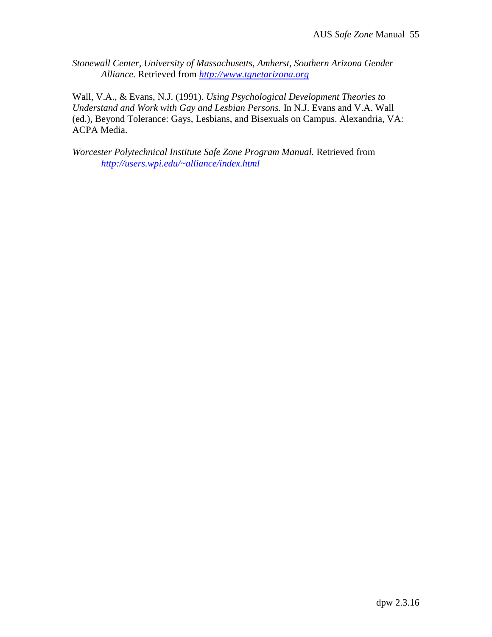*Stonewall Center, University of Massachusetts, Amherst, Southern Arizona Gender Alliance.* Retrieved from *[http://www.tgnetarizona.org](http://www.tgnetarizona.org/)*

Wall, V.A., & Evans, N.J. (1991). *Using Psychological Development Theories to Understand and Work with Gay and Lesbian Persons.* In N.J. Evans and V.A. Wall (ed.), Beyond Tolerance: Gays, Lesbians, and Bisexuals on Campus. Alexandria, VA: ACPA Media.

*Worcester Polytechnical Institute Safe Zone Program Manual.* Retrieved from *<http://users.wpi.edu/~alliance/index.html>*